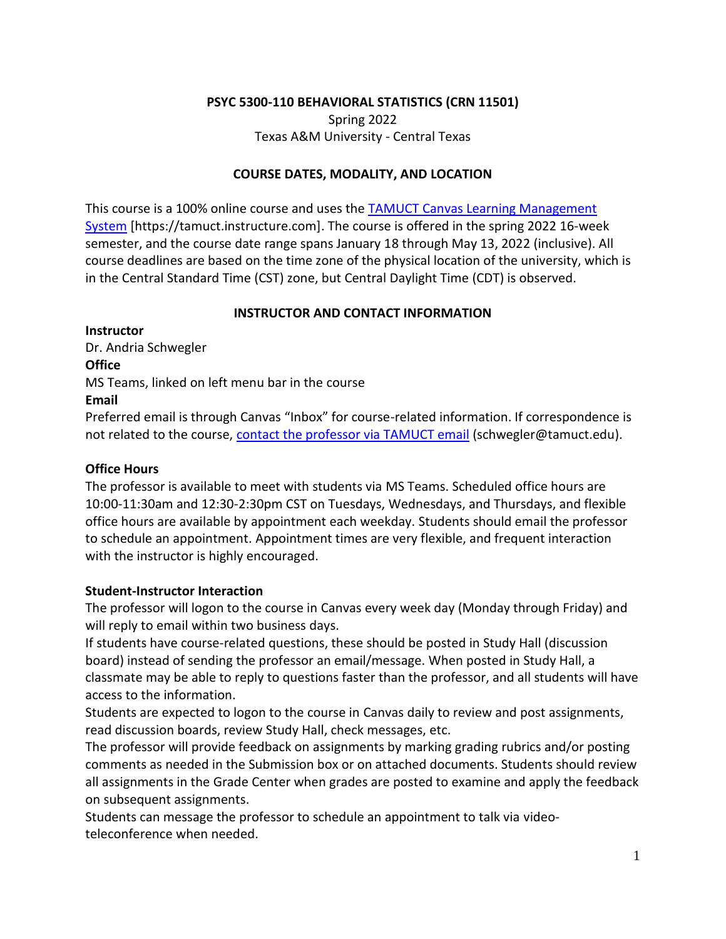# **PSYC 5300-110 BEHAVIORAL STATISTICS (CRN 11501)**

Spring 2022 Texas A&M University - Central Texas

# **COURSE DATES, MODALITY, AND LOCATION**

This course is a 100% online course and uses the [TAMUCT Canvas Learning Management](https://tamuct.instructure.com/)  [System](https://tamuct.instructure.com/) [https://tamuct.instructure.com]. The course is offered in the spring 2022 16-week semester, and the course date range spans January 18 through May 13, 2022 (inclusive). All course deadlines are based on the time zone of the physical location of the university, which is in the Central Standard Time (CST) zone, but Central Daylight Time (CDT) is observed.

# **INSTRUCTOR AND CONTACT INFORMATION**

**Instructor**  Dr. Andria Schwegler **Office**  MS Teams, linked on left menu bar in the course **Email** 

Preferred email is through Canvas "Inbox" for course-related information. If correspondence is not related to the course, [contact the professor via TAMUCT email](mailto:schwegler@tamuct.edu) (schwegler@tamuct.edu).

# **Office Hours**

The professor is available to meet with students via MS Teams. Scheduled office hours are 10:00-11:30am and 12:30-2:30pm CST on Tuesdays, Wednesdays, and Thursdays, and flexible office hours are available by appointment each weekday. Students should email the professor to schedule an appointment. Appointment times are very flexible, and frequent interaction with the instructor is highly encouraged.

# **Student-Instructor Interaction**

The professor will logon to the course in Canvas every week day (Monday through Friday) and will reply to email within two business days.

If students have course-related questions, these should be posted in Study Hall (discussion board) instead of sending the professor an email/message. When posted in Study Hall, a classmate may be able to reply to questions faster than the professor, and all students will have access to the information.

Students are expected to logon to the course in Canvas daily to review and post assignments, read discussion boards, review Study Hall, check messages, etc.

The professor will provide feedback on assignments by marking grading rubrics and/or posting comments as needed in the Submission box or on attached documents. Students should review all assignments in the Grade Center when grades are posted to examine and apply the feedback on subsequent assignments.

Students can message the professor to schedule an appointment to talk via videoteleconference when needed.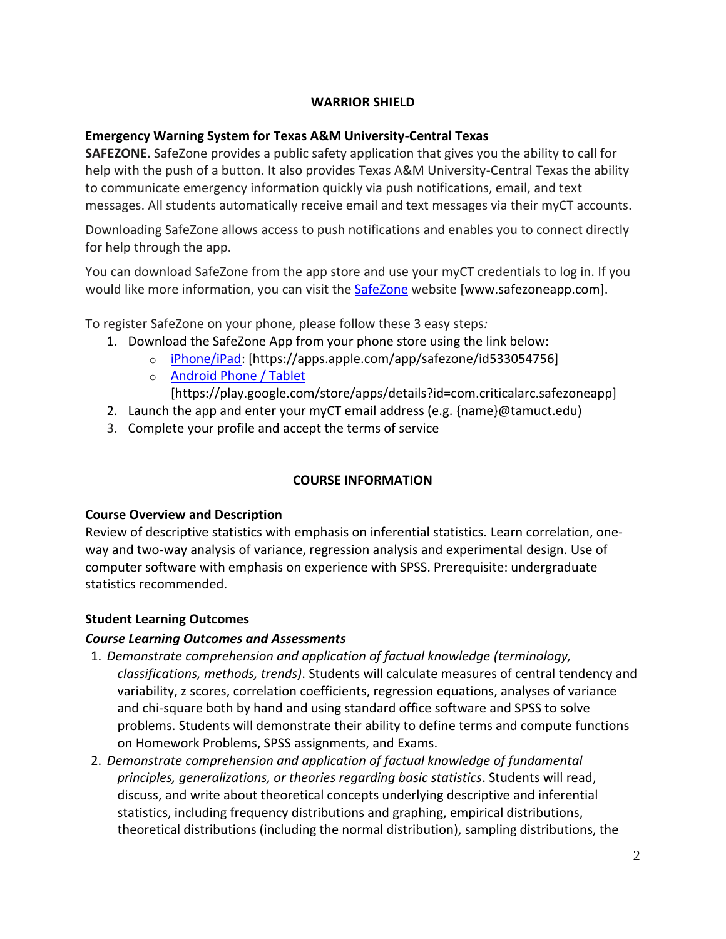# **WARRIOR SHIELD**

# **Emergency Warning System for Texas A&M University-Central Texas**

**SAFEZONE.** SafeZone provides a public safety application that gives you the ability to call for help with the push of a button. It also provides Texas A&M University-Central Texas the ability to communicate emergency information quickly via push notifications, email, and text messages. All students automatically receive email and text messages via their myCT accounts.

Downloading SafeZone allows access to push notifications and enables you to connect directly for help through the app.

You can download SafeZone from the app store and use your myCT credentials to log in. If you would like more information, you can visit the [SafeZone](http://www.safezoneapp.com/) website [www.safezoneapp.com].

To register SafeZone on your phone, please follow these 3 easy steps*:*

- 1. Download the SafeZone App from your phone store using the link below:
	- o [iPhone/iPad:](https://apps.apple.com/app/safezone/id533054756) [https://apps.apple.com/app/safezone/id533054756]
	- o [Android Phone / Tablet](https://play.google.com/store/apps/details?id=com.criticalarc.safezoneapp)

[https://play.google.com/store/apps/details?id=com.criticalarc.safezoneapp]

- 2. Launch the app and enter your myCT email address (e.g. {name}@tamuct.edu)
- 3. Complete your profile and accept the terms of service

# **COURSE INFORMATION**

# **Course Overview and Description**

Review of descriptive statistics with emphasis on inferential statistics. Learn correlation, oneway and two-way analysis of variance, regression analysis and experimental design. Use of computer software with emphasis on experience with SPSS. Prerequisite: undergraduate statistics recommended.

# **Student Learning Outcomes**

# *Course Learning Outcomes and Assessments*

- 1. *Demonstrate comprehension and application of factual knowledge (terminology, classifications, methods, trends)*. Students will calculate measures of central tendency and variability, z scores, correlation coefficients, regression equations, analyses of variance and chi-square both by hand and using standard office software and SPSS to solve problems. Students will demonstrate their ability to define terms and compute functions on Homework Problems, SPSS assignments, and Exams.
- 2. *Demonstrate comprehension and application of factual knowledge of fundamental principles, generalizations, or theories regarding basic statistics*. Students will read, discuss, and write about theoretical concepts underlying descriptive and inferential statistics, including frequency distributions and graphing, empirical distributions, theoretical distributions (including the normal distribution), sampling distributions, the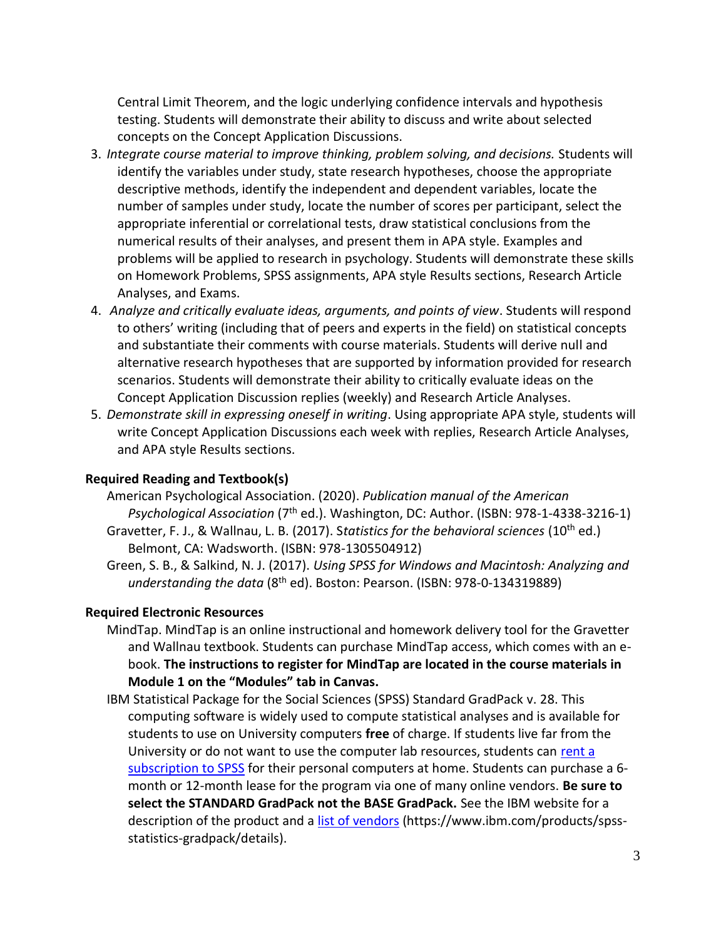Central Limit Theorem, and the logic underlying confidence intervals and hypothesis testing. Students will demonstrate their ability to discuss and write about selected concepts on the Concept Application Discussions.

- 3. *Integrate course material to improve thinking, problem solving, and decisions.* Students will identify the variables under study, state research hypotheses, choose the appropriate descriptive methods, identify the independent and dependent variables, locate the number of samples under study, locate the number of scores per participant, select the appropriate inferential or correlational tests, draw statistical conclusions from the numerical results of their analyses, and present them in APA style. Examples and problems will be applied to research in psychology. Students will demonstrate these skills on Homework Problems, SPSS assignments, APA style Results sections, Research Article Analyses, and Exams.
- 4. *Analyze and critically evaluate ideas, arguments, and points of view*. Students will respond to others' writing (including that of peers and experts in the field) on statistical concepts and substantiate their comments with course materials. Students will derive null and alternative research hypotheses that are supported by information provided for research scenarios. Students will demonstrate their ability to critically evaluate ideas on the Concept Application Discussion replies (weekly) and Research Article Analyses.
- 5. *Demonstrate skill in expressing oneself in writing*. Using appropriate APA style, students will write Concept Application Discussions each week with replies, Research Article Analyses, and APA style Results sections.

#### **Required Reading and Textbook(s)**

- American Psychological Association. (2020). *Publication manual of the American*  Psychological Association (7<sup>th</sup> ed.). Washington, DC: Author. (ISBN: 978-1-4338-3216-1)
- Gravetter, F. J., & Wallnau, L. B. (2017). Statistics for the behavioral sciences (10<sup>th</sup> ed.) Belmont, CA: Wadsworth. (ISBN: 978-1305504912)
- Green, S. B., & Salkind, N. J. (2017). *Using SPSS for Windows and Macintosh: Analyzing and understanding the data* (8th ed). Boston: Pearson. (ISBN: 978-0-134319889)

#### **Required Electronic Resources**

- MindTap. MindTap is an online instructional and homework delivery tool for the Gravetter and Wallnau textbook. Students can purchase MindTap access, which comes with an ebook. **The instructions to register for MindTap are located in the course materials in Module 1 on the "Modules" tab in Canvas.**
- IBM Statistical Package for the Social Sciences (SPSS) Standard GradPack v. 28. This computing software is widely used to compute statistical analyses and is available for students to use on University computers **free** of charge. If students live far from the University or do not want to use the computer lab resources, students can [rent a](http://www-03.ibm.com/software/products/en/spss-stats-gradpack)  [subscription to SPSS](http://www-03.ibm.com/software/products/en/spss-stats-gradpack) for their personal computers at home. Students can purchase a 6 month or 12-month lease for the program via one of many online vendors. **Be sure to select the STANDARD GradPack not the BASE GradPack.** See the IBM website for a description of the product and a [list of vendors](https://www.ibm.com/products/spss-statistics-gradpack/details) (https://www.ibm.com/products/spssstatistics-gradpack/details).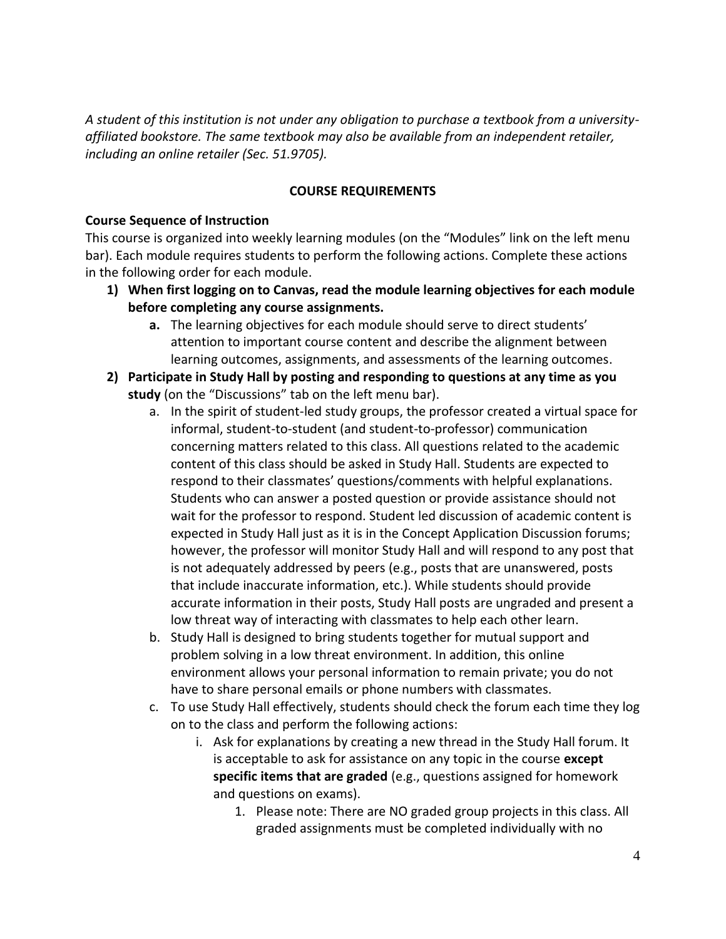*A student of this institution is not under any obligation to purchase a textbook from a universityaffiliated bookstore. The same textbook may also be available from an independent retailer, including an online retailer (Sec. 51.9705).*

# **COURSE REQUIREMENTS**

# **Course Sequence of Instruction**

This course is organized into weekly learning modules (on the "Modules" link on the left menu bar). Each module requires students to perform the following actions. Complete these actions in the following order for each module.

- **1) When first logging on to Canvas, read the module learning objectives for each module before completing any course assignments.**
	- **a.** The learning objectives for each module should serve to direct students' attention to important course content and describe the alignment between learning outcomes, assignments, and assessments of the learning outcomes.
- **2) Participate in Study Hall by posting and responding to questions at any time as you study** (on the "Discussions" tab on the left menu bar).
	- a. In the spirit of student-led study groups, the professor created a virtual space for informal, student-to-student (and student-to-professor) communication concerning matters related to this class. All questions related to the academic content of this class should be asked in Study Hall. Students are expected to respond to their classmates' questions/comments with helpful explanations. Students who can answer a posted question or provide assistance should not wait for the professor to respond. Student led discussion of academic content is expected in Study Hall just as it is in the Concept Application Discussion forums; however, the professor will monitor Study Hall and will respond to any post that is not adequately addressed by peers (e.g., posts that are unanswered, posts that include inaccurate information, etc.). While students should provide accurate information in their posts, Study Hall posts are ungraded and present a low threat way of interacting with classmates to help each other learn.
	- b. Study Hall is designed to bring students together for mutual support and problem solving in a low threat environment. In addition, this online environment allows your personal information to remain private; you do not have to share personal emails or phone numbers with classmates.
	- c. To use Study Hall effectively, students should check the forum each time they log on to the class and perform the following actions:
		- i. Ask for explanations by creating a new thread in the Study Hall forum. It is acceptable to ask for assistance on any topic in the course **except specific items that are graded** (e.g., questions assigned for homework and questions on exams).
			- 1. Please note: There are NO graded group projects in this class. All graded assignments must be completed individually with no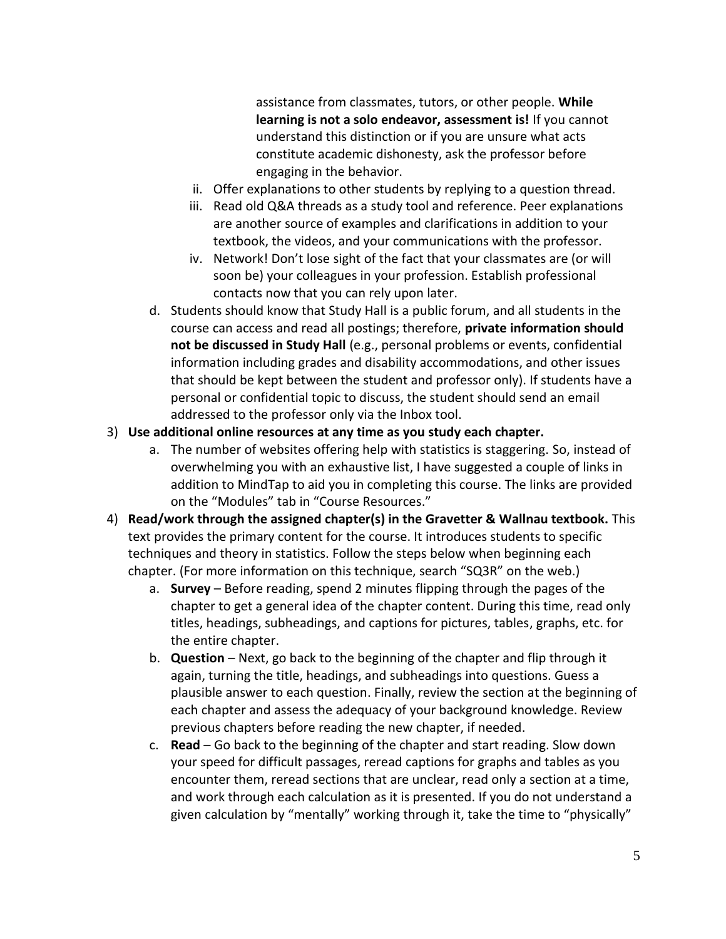assistance from classmates, tutors, or other people. **While learning is not a solo endeavor, assessment is!** If you cannot understand this distinction or if you are unsure what acts constitute academic dishonesty, ask the professor before engaging in the behavior.

- ii. Offer explanations to other students by replying to a question thread.
- iii. Read old Q&A threads as a study tool and reference. Peer explanations are another source of examples and clarifications in addition to your textbook, the videos, and your communications with the professor.
- iv. Network! Don't lose sight of the fact that your classmates are (or will soon be) your colleagues in your profession. Establish professional contacts now that you can rely upon later.
- d. Students should know that Study Hall is a public forum, and all students in the course can access and read all postings; therefore, **private information should not be discussed in Study Hall** (e.g., personal problems or events, confidential information including grades and disability accommodations, and other issues that should be kept between the student and professor only). If students have a personal or confidential topic to discuss, the student should send an email addressed to the professor only via the Inbox tool.
- 3) **Use additional online resources at any time as you study each chapter.**
	- a. The number of websites offering help with statistics is staggering. So, instead of overwhelming you with an exhaustive list, I have suggested a couple of links in addition to MindTap to aid you in completing this course. The links are provided on the "Modules" tab in "Course Resources."
- 4) **Read/work through the assigned chapter(s) in the Gravetter & Wallnau textbook.** This text provides the primary content for the course. It introduces students to specific techniques and theory in statistics. Follow the steps below when beginning each chapter. (For more information on this technique, search "SQ3R" on the web.)
	- a. **Survey** Before reading, spend 2 minutes flipping through the pages of the chapter to get a general idea of the chapter content. During this time, read only titles, headings, subheadings, and captions for pictures, tables, graphs, etc. for the entire chapter.
	- b. **Question** Next, go back to the beginning of the chapter and flip through it again, turning the title, headings, and subheadings into questions. Guess a plausible answer to each question. Finally, review the section at the beginning of each chapter and assess the adequacy of your background knowledge. Review previous chapters before reading the new chapter, if needed.
	- c. **Read** Go back to the beginning of the chapter and start reading. Slow down your speed for difficult passages, reread captions for graphs and tables as you encounter them, reread sections that are unclear, read only a section at a time, and work through each calculation as it is presented. If you do not understand a given calculation by "mentally" working through it, take the time to "physically"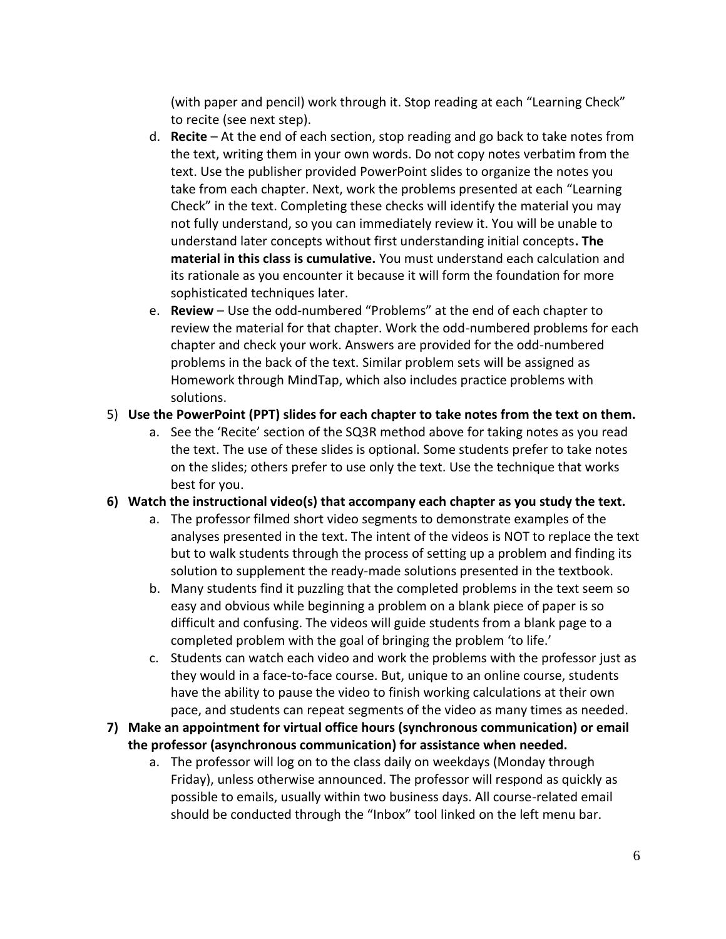(with paper and pencil) work through it. Stop reading at each "Learning Check" to recite (see next step).

- d. **Recite** At the end of each section, stop reading and go back to take notes from the text, writing them in your own words. Do not copy notes verbatim from the text. Use the publisher provided PowerPoint slides to organize the notes you take from each chapter. Next, work the problems presented at each "Learning Check" in the text. Completing these checks will identify the material you may not fully understand, so you can immediately review it. You will be unable to understand later concepts without first understanding initial concepts**. The material in this class is cumulative.** You must understand each calculation and its rationale as you encounter it because it will form the foundation for more sophisticated techniques later.
- e. **Review** Use the odd-numbered "Problems" at the end of each chapter to review the material for that chapter. Work the odd-numbered problems for each chapter and check your work. Answers are provided for the odd-numbered problems in the back of the text. Similar problem sets will be assigned as Homework through MindTap, which also includes practice problems with solutions.

# 5) **Use the PowerPoint (PPT) slides for each chapter to take notes from the text on them.**

a. See the 'Recite' section of the SQ3R method above for taking notes as you read the text. The use of these slides is optional. Some students prefer to take notes on the slides; others prefer to use only the text. Use the technique that works best for you.

# **6) Watch the instructional video(s) that accompany each chapter as you study the text.**

- a. The professor filmed short video segments to demonstrate examples of the analyses presented in the text. The intent of the videos is NOT to replace the text but to walk students through the process of setting up a problem and finding its solution to supplement the ready-made solutions presented in the textbook.
- b. Many students find it puzzling that the completed problems in the text seem so easy and obvious while beginning a problem on a blank piece of paper is so difficult and confusing. The videos will guide students from a blank page to a completed problem with the goal of bringing the problem 'to life.'
- c. Students can watch each video and work the problems with the professor just as they would in a face-to-face course. But, unique to an online course, students have the ability to pause the video to finish working calculations at their own pace, and students can repeat segments of the video as many times as needed.
- **7) Make an appointment for virtual office hours (synchronous communication) or email the professor (asynchronous communication) for assistance when needed.**
	- a. The professor will log on to the class daily on weekdays (Monday through Friday), unless otherwise announced. The professor will respond as quickly as possible to emails, usually within two business days. All course-related email should be conducted through the "Inbox" tool linked on the left menu bar.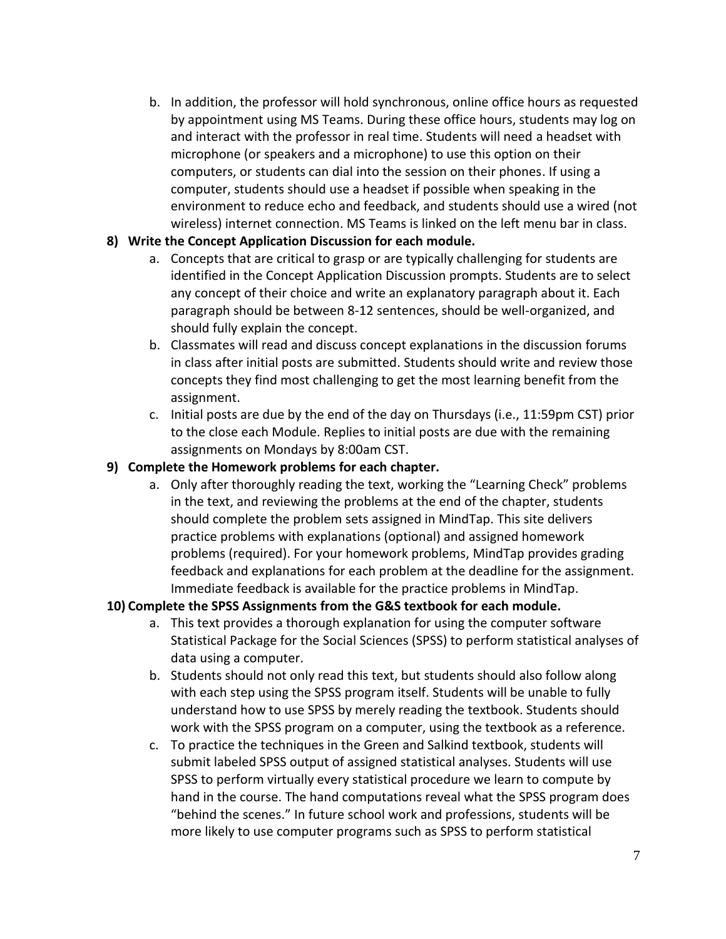b. In addition, the professor will hold synchronous, online office hours as requested by appointment using MS Teams. During these office hours, students may log on and interact with the professor in real time. Students will need a headset with microphone (or speakers and a microphone) to use this option on their computers, or students can dial into the session on their phones. If using a computer, students should use a headset if possible when speaking in the environment to reduce echo and feedback, and students should use a wired (not wireless) internet connection. MS Teams is linked on the left menu bar in class.

# **8) Write the Concept Application Discussion for each module.**

- a. Concepts that are critical to grasp or are typically challenging for students are identified in the Concept Application Discussion prompts. Students are to select any concept of their choice and write an explanatory paragraph about it. Each paragraph should be between 8-12 sentences, should be well-organized, and should fully explain the concept.
- b. Classmates will read and discuss concept explanations in the discussion forums in class after initial posts are submitted. Students should write and review those concepts they find most challenging to get the most learning benefit from the assignment.
- c. Initial posts are due by the end of the day on Thursdays (i.e., 11:59pm CST) prior to the close each Module. Replies to initial posts are due with the remaining assignments on Mondays by 8:00am CST.

# **9) Complete the Homework problems for each chapter.**

a. Only after thoroughly reading the text, working the "Learning Check" problems in the text, and reviewing the problems at the end of the chapter, students should complete the problem sets assigned in MindTap. This site delivers practice problems with explanations (optional) and assigned homework problems (required). For your homework problems, MindTap provides grading feedback and explanations for each problem at the deadline for the assignment. Immediate feedback is available for the practice problems in MindTap.

# **10) Complete the SPSS Assignments from the G&S textbook for each module.**

- a. This text provides a thorough explanation for using the computer software Statistical Package for the Social Sciences (SPSS) to perform statistical analyses of data using a computer.
- b. Students should not only read this text, but students should also follow along with each step using the SPSS program itself. Students will be unable to fully understand how to use SPSS by merely reading the textbook. Students should work with the SPSS program on a computer, using the textbook as a reference.
- c. To practice the techniques in the Green and Salkind textbook, students will submit labeled SPSS output of assigned statistical analyses. Students will use SPSS to perform virtually every statistical procedure we learn to compute by hand in the course. The hand computations reveal what the SPSS program does "behind the scenes." In future school work and professions, students will be more likely to use computer programs such as SPSS to perform statistical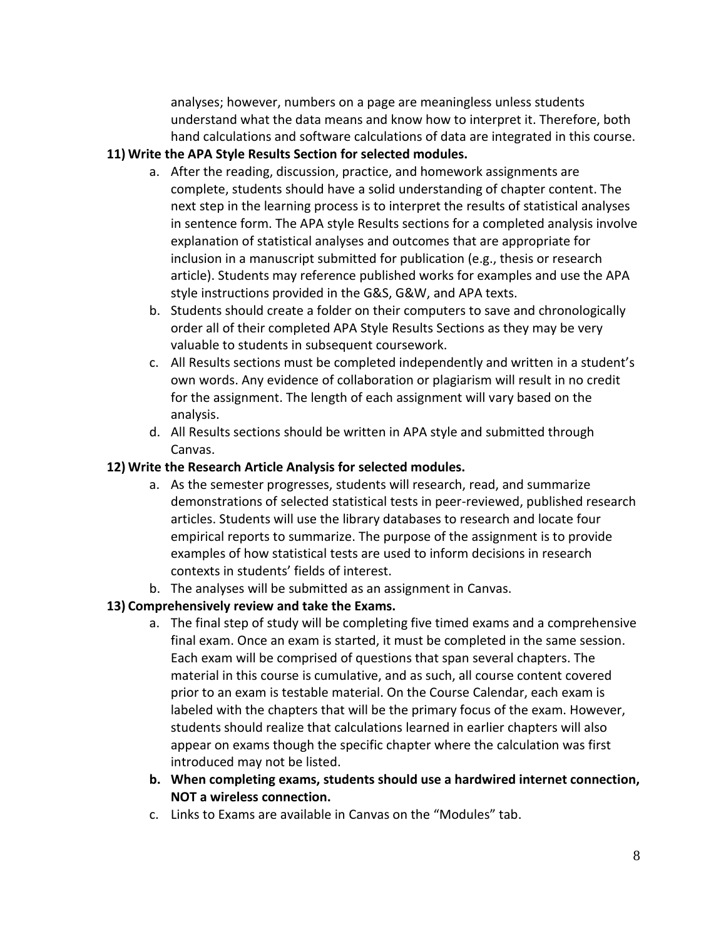analyses; however, numbers on a page are meaningless unless students understand what the data means and know how to interpret it. Therefore, both hand calculations and software calculations of data are integrated in this course.

# **11) Write the APA Style Results Section for selected modules.**

- a. After the reading, discussion, practice, and homework assignments are complete, students should have a solid understanding of chapter content. The next step in the learning process is to interpret the results of statistical analyses in sentence form. The APA style Results sections for a completed analysis involve explanation of statistical analyses and outcomes that are appropriate for inclusion in a manuscript submitted for publication (e.g., thesis or research article). Students may reference published works for examples and use the APA style instructions provided in the G&S, G&W, and APA texts.
- b. Students should create a folder on their computers to save and chronologically order all of their completed APA Style Results Sections as they may be very valuable to students in subsequent coursework.
- c. All Results sections must be completed independently and written in a student's own words. Any evidence of collaboration or plagiarism will result in no credit for the assignment. The length of each assignment will vary based on the analysis.
- d. All Results sections should be written in APA style and submitted through Canvas.

# **12) Write the Research Article Analysis for selected modules.**

- a. As the semester progresses, students will research, read, and summarize demonstrations of selected statistical tests in peer-reviewed, published research articles. Students will use the library databases to research and locate four empirical reports to summarize. The purpose of the assignment is to provide examples of how statistical tests are used to inform decisions in research contexts in students' fields of interest.
- b. The analyses will be submitted as an assignment in Canvas.

# **13) Comprehensively review and take the Exams.**

- a. The final step of study will be completing five timed exams and a comprehensive final exam. Once an exam is started, it must be completed in the same session. Each exam will be comprised of questions that span several chapters. The material in this course is cumulative, and as such, all course content covered prior to an exam is testable material. On the Course Calendar, each exam is labeled with the chapters that will be the primary focus of the exam. However, students should realize that calculations learned in earlier chapters will also appear on exams though the specific chapter where the calculation was first introduced may not be listed.
- **b. When completing exams, students should use a hardwired internet connection, NOT a wireless connection.**
- c. Links to Exams are available in Canvas on the "Modules" tab.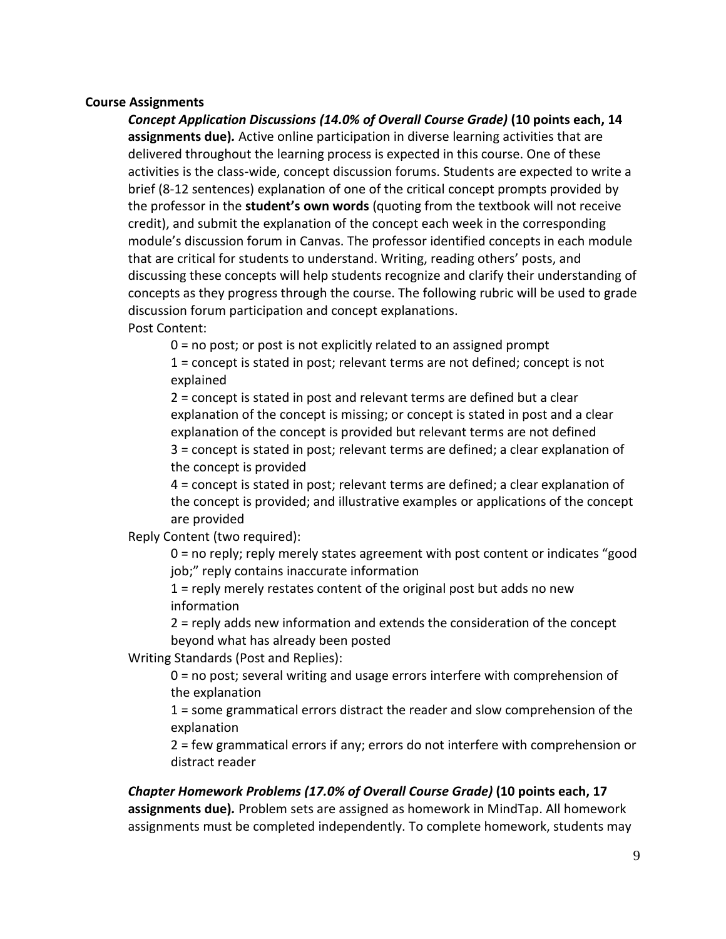#### **Course Assignments**

*Concept Application Discussions (14.0% of Overall Course Grade)* **(10 points each, 14 assignments due)***.* Active online participation in diverse learning activities that are delivered throughout the learning process is expected in this course. One of these activities is the class-wide, concept discussion forums. Students are expected to write a brief (8-12 sentences) explanation of one of the critical concept prompts provided by the professor in the **student's own words** (quoting from the textbook will not receive credit), and submit the explanation of the concept each week in the corresponding module's discussion forum in Canvas. The professor identified concepts in each module that are critical for students to understand. Writing, reading others' posts, and discussing these concepts will help students recognize and clarify their understanding of concepts as they progress through the course. The following rubric will be used to grade discussion forum participation and concept explanations. Post Content:

0 = no post; or post is not explicitly related to an assigned prompt

1 = concept is stated in post; relevant terms are not defined; concept is not explained

2 = concept is stated in post and relevant terms are defined but a clear explanation of the concept is missing; or concept is stated in post and a clear explanation of the concept is provided but relevant terms are not defined 3 = concept is stated in post; relevant terms are defined; a clear explanation of the concept is provided

4 = concept is stated in post; relevant terms are defined; a clear explanation of the concept is provided; and illustrative examples or applications of the concept are provided

Reply Content (two required):

0 = no reply; reply merely states agreement with post content or indicates "good job;" reply contains inaccurate information

1 = reply merely restates content of the original post but adds no new information

2 = reply adds new information and extends the consideration of the concept beyond what has already been posted

Writing Standards (Post and Replies):

0 = no post; several writing and usage errors interfere with comprehension of the explanation

1 = some grammatical errors distract the reader and slow comprehension of the explanation

2 = few grammatical errors if any; errors do not interfere with comprehension or distract reader

# *Chapter Homework Problems (17.0% of Overall Course Grade)* **(10 points each, 17 assignments due)***.* Problem sets are assigned as homework in MindTap. All homework assignments must be completed independently. To complete homework, students may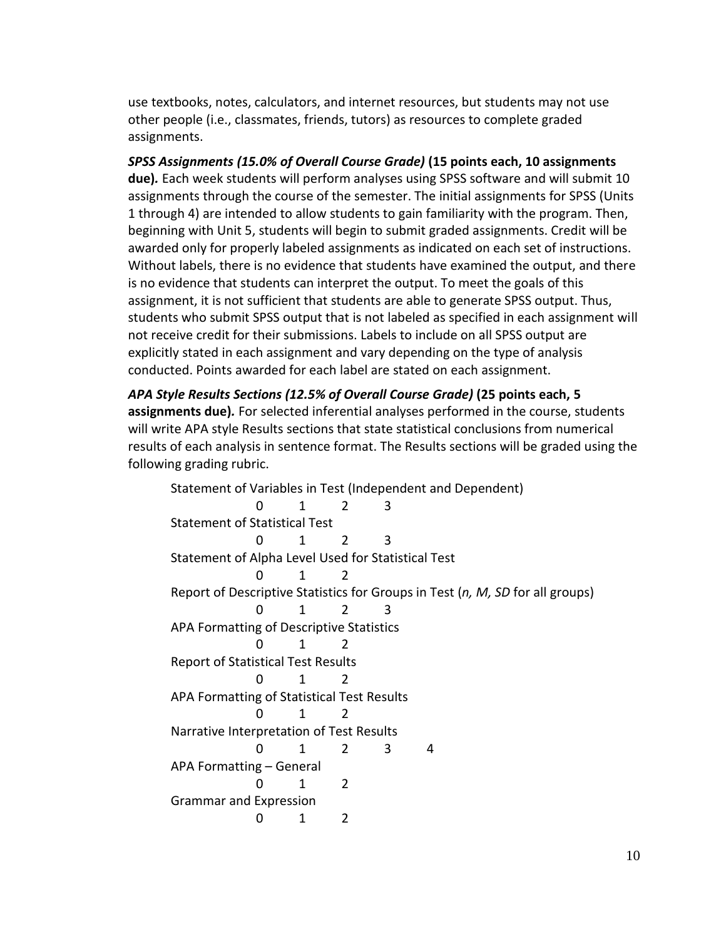use textbooks, notes, calculators, and internet resources, but students may not use other people (i.e., classmates, friends, tutors) as resources to complete graded assignments.

*SPSS Assignments (15.0% of Overall Course Grade)* **(15 points each, 10 assignments due)***.* Each week students will perform analyses using SPSS software and will submit 10 assignments through the course of the semester. The initial assignments for SPSS (Units 1 through 4) are intended to allow students to gain familiarity with the program. Then, beginning with Unit 5, students will begin to submit graded assignments. Credit will be awarded only for properly labeled assignments as indicated on each set of instructions. Without labels, there is no evidence that students have examined the output, and there is no evidence that students can interpret the output. To meet the goals of this assignment, it is not sufficient that students are able to generate SPSS output. Thus, students who submit SPSS output that is not labeled as specified in each assignment will not receive credit for their submissions. Labels to include on all SPSS output are explicitly stated in each assignment and vary depending on the type of analysis conducted. Points awarded for each label are stated on each assignment.

*APA Style Results Sections (12.5% of Overall Course Grade)* **(25 points each, 5 assignments due)***.* For selected inferential analyses performed in the course, students will write APA style Results sections that state statistical conclusions from numerical results of each analysis in sentence format. The Results sections will be graded using the following grading rubric.

Statement of Variables in Test (Independent and Dependent) 0 1 2 3 Statement of Statistical Test 0 1 2 3 Statement of Alpha Level Used for Statistical Test 0 1 2 Report of Descriptive Statistics for Groups in Test (*n, M, SD* for all groups) 0 1 2 3 APA Formatting of Descriptive Statistics 0 1 2 Report of Statistical Test Results 0 1 2 APA Formatting of Statistical Test Results 0 1 2 Narrative Interpretation of Test Results 0 1 2 3 4 APA Formatting – General 0 1 2 Grammar and Expression 0 1 2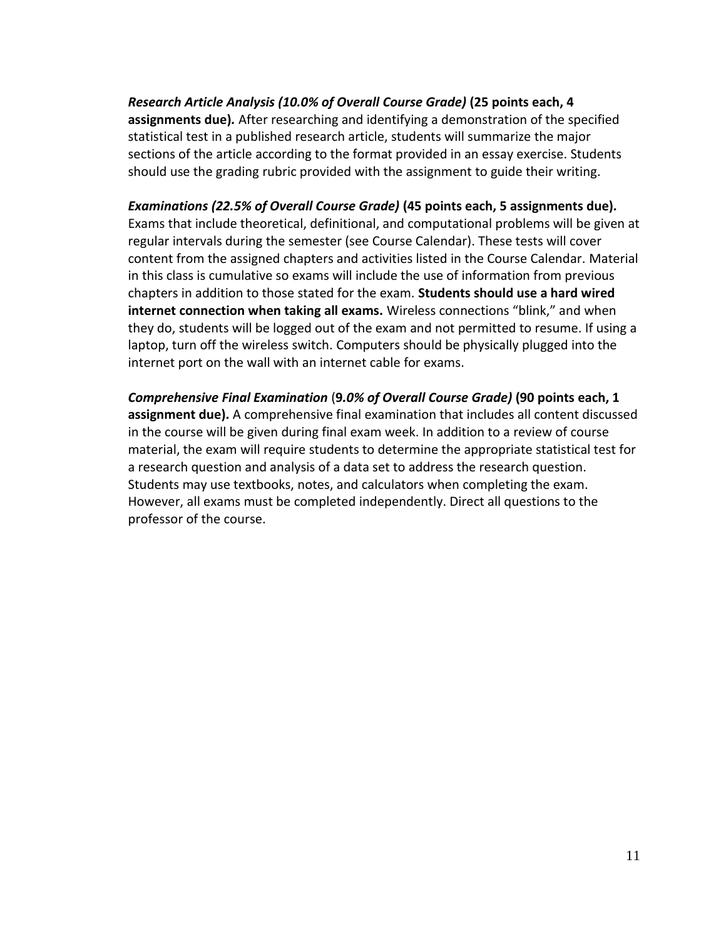*Research Article Analysis (10.0% of Overall Course Grade)* **(25 points each, 4 assignments due)***.* After researching and identifying a demonstration of the specified statistical test in a published research article, students will summarize the major sections of the article according to the format provided in an essay exercise. Students should use the grading rubric provided with the assignment to guide their writing.

*Examinations (22.5% of Overall Course Grade)* **(45 points each, 5 assignments due)***.* Exams that include theoretical, definitional, and computational problems will be given at regular intervals during the semester (see Course Calendar). These tests will cover content from the assigned chapters and activities listed in the Course Calendar. Material in this class is cumulative so exams will include the use of information from previous chapters in addition to those stated for the exam. **Students should use a hard wired internet connection when taking all exams.** Wireless connections "blink," and when they do, students will be logged out of the exam and not permitted to resume. If using a laptop, turn off the wireless switch. Computers should be physically plugged into the internet port on the wall with an internet cable for exams.

*Comprehensive Final Examination* (**9***.0% of Overall Course Grade)* **(90 points each, 1 assignment due).** A comprehensive final examination that includes all content discussed in the course will be given during final exam week. In addition to a review of course material, the exam will require students to determine the appropriate statistical test for a research question and analysis of a data set to address the research question. Students may use textbooks, notes, and calculators when completing the exam. However, all exams must be completed independently. Direct all questions to the professor of the course.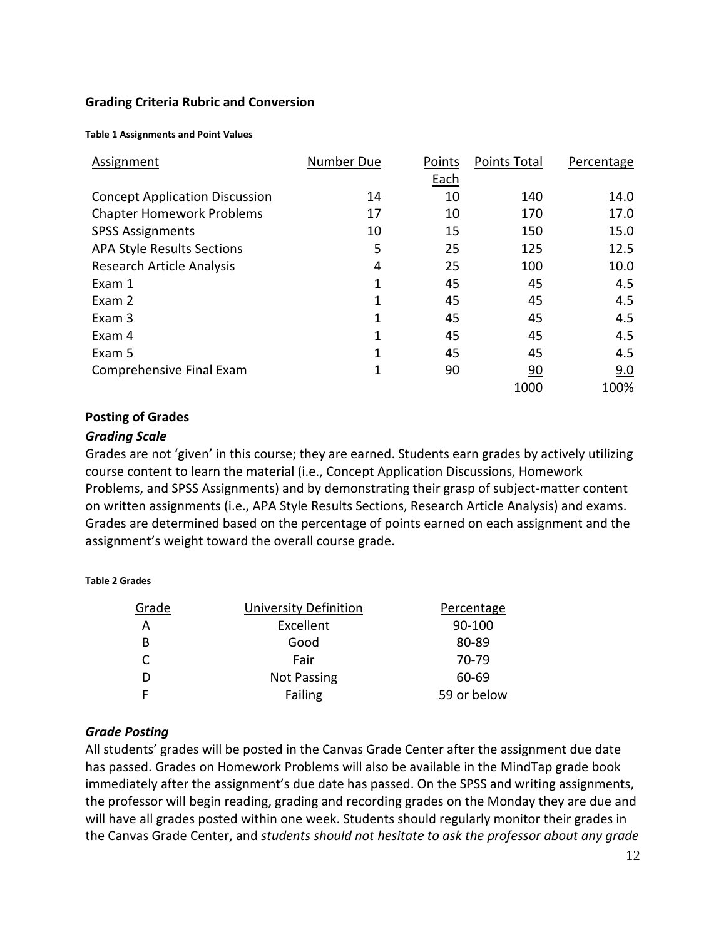#### **Grading Criteria Rubric and Conversion**

**Table 1 Assignments and Point Values**

| Assignment                            | Number Due | Points | <b>Points Total</b> | Percentage |
|---------------------------------------|------------|--------|---------------------|------------|
|                                       |            | Each   |                     |            |
| <b>Concept Application Discussion</b> | 14         | 10     | 140                 | 14.0       |
| <b>Chapter Homework Problems</b>      | 17         | 10     | 170                 | 17.0       |
| <b>SPSS Assignments</b>               | 10         | 15     | 150                 | 15.0       |
| <b>APA Style Results Sections</b>     | 5          | 25     | 125                 | 12.5       |
| Research Article Analysis             | 4          | 25     | 100                 | 10.0       |
| Exam 1                                | 1          | 45     | 45                  | 4.5        |
| Exam 2                                | 1          | 45     | 45                  | 4.5        |
| Exam 3                                | 1          | 45     | 45                  | 4.5        |
| Exam 4                                | 1          | 45     | 45                  | 4.5        |
| Exam 5                                | 1          | 45     | 45                  | 4.5        |
| Comprehensive Final Exam              | 1          | 90     | 90                  | 9.0        |
|                                       |            |        | 1000                | 100%       |

#### **Posting of Grades**

#### *Grading Scale*

**Table 2 Grades**

Grades are not 'given' in this course; they are earned. Students earn grades by actively utilizing course content to learn the material (i.e., Concept Application Discussions, Homework Problems, and SPSS Assignments) and by demonstrating their grasp of subject-matter content on written assignments (i.e., APA Style Results Sections, Research Article Analysis) and exams. Grades are determined based on the percentage of points earned on each assignment and the assignment's weight toward the overall course grade.

| Grade | University Definition | Percentage  |
|-------|-----------------------|-------------|
| А     | Excellent             | 90-100      |
| B     | Good                  | 80-89       |
| C     | Fair                  | 70-79       |
| D     | <b>Not Passing</b>    | 60-69       |
|       | Failing               | 59 or below |
|       |                       |             |

#### *Grade Posting*

All students' grades will be posted in the Canvas Grade Center after the assignment due date has passed. Grades on Homework Problems will also be available in the MindTap grade book immediately after the assignment's due date has passed. On the SPSS and writing assignments, the professor will begin reading, grading and recording grades on the Monday they are due and will have all grades posted within one week. Students should regularly monitor their grades in the Canvas Grade Center, and *students should not hesitate to ask the professor about any grade*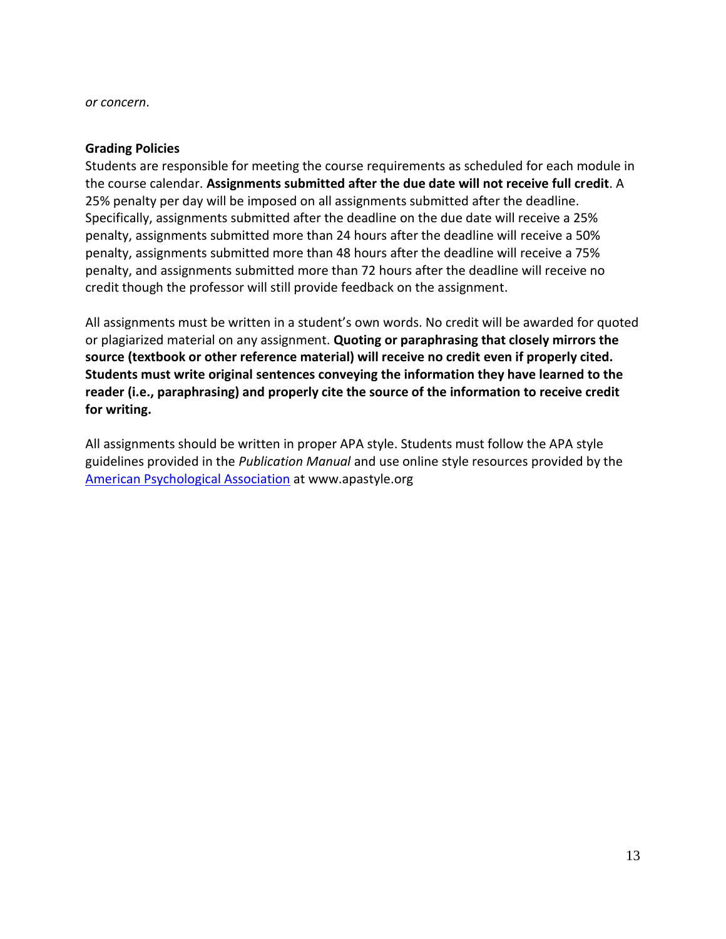*or concern*.

#### **Grading Policies**

Students are responsible for meeting the course requirements as scheduled for each module in the course calendar. **Assignments submitted after the due date will not receive full credit**. A 25% penalty per day will be imposed on all assignments submitted after the deadline. Specifically, assignments submitted after the deadline on the due date will receive a 25% penalty, assignments submitted more than 24 hours after the deadline will receive a 50% penalty, assignments submitted more than 48 hours after the deadline will receive a 75% penalty, and assignments submitted more than 72 hours after the deadline will receive no credit though the professor will still provide feedback on the assignment.

All assignments must be written in a student's own words. No credit will be awarded for quoted or plagiarized material on any assignment. **Quoting or paraphrasing that closely mirrors the source (textbook or other reference material) will receive no credit even if properly cited. Students must write original sentences conveying the information they have learned to the reader (i.e., paraphrasing) and properly cite the source of the information to receive credit for writing.** 

All assignments should be written in proper APA style. Students must follow the APA style guidelines provided in the *Publication Manual* and use online style resources provided by the [American Psychological Association](http://www.apastyle.org/) at www.apastyle.org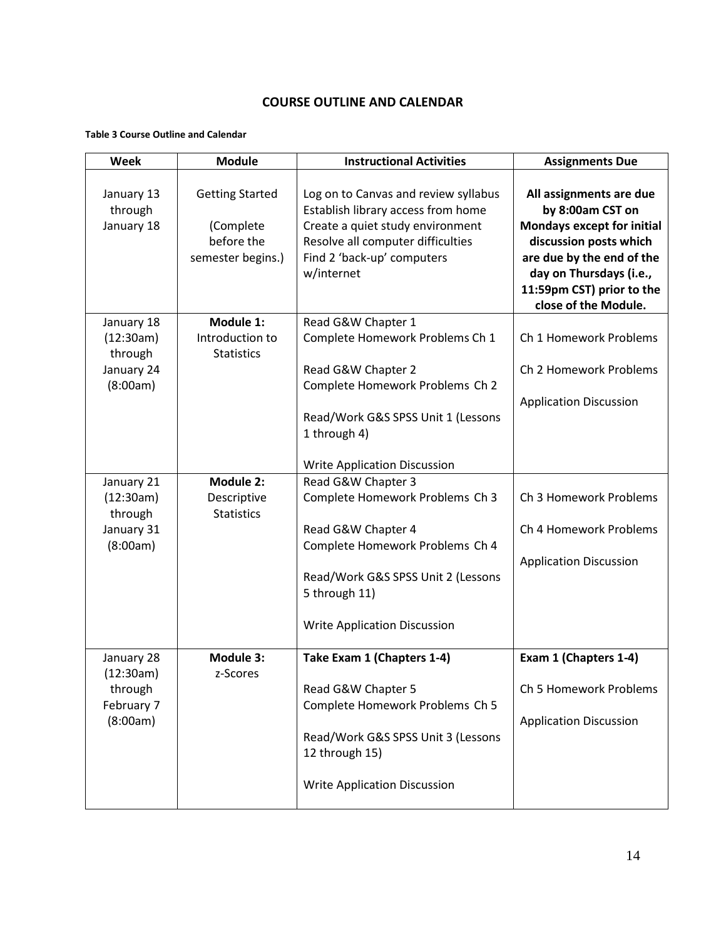#### **COURSE OUTLINE AND CALENDAR**

#### **Table 3 Course Outline and Calendar**

| Week                                | <b>Module</b>                                                          | <b>Instructional Activities</b>                                                                                                                                                                 | <b>Assignments Due</b>                                                                                                                                                                                           |
|-------------------------------------|------------------------------------------------------------------------|-------------------------------------------------------------------------------------------------------------------------------------------------------------------------------------------------|------------------------------------------------------------------------------------------------------------------------------------------------------------------------------------------------------------------|
| January 13<br>through<br>January 18 | <b>Getting Started</b><br>(Complete<br>before the<br>semester begins.) | Log on to Canvas and review syllabus<br>Establish library access from home<br>Create a quiet study environment<br>Resolve all computer difficulties<br>Find 2 'back-up' computers<br>w/internet | All assignments are due<br>by 8:00am CST on<br>Mondays except for initial<br>discussion posts which<br>are due by the end of the<br>day on Thursdays (i.e.,<br>11:59pm CST) prior to the<br>close of the Module. |
| January 18                          | Module 1:                                                              | Read G&W Chapter 1                                                                                                                                                                              |                                                                                                                                                                                                                  |
| (12:30am)<br>through                | Introduction to<br><b>Statistics</b>                                   | Complete Homework Problems Ch 1                                                                                                                                                                 | Ch 1 Homework Problems                                                                                                                                                                                           |
| January 24                          |                                                                        | Read G&W Chapter 2                                                                                                                                                                              | Ch 2 Homework Problems                                                                                                                                                                                           |
| (8:00am)                            |                                                                        | Complete Homework Problems Ch 2                                                                                                                                                                 |                                                                                                                                                                                                                  |
|                                     |                                                                        |                                                                                                                                                                                                 | <b>Application Discussion</b>                                                                                                                                                                                    |
|                                     |                                                                        | Read/Work G&S SPSS Unit 1 (Lessons<br>1 through 4)                                                                                                                                              |                                                                                                                                                                                                                  |
|                                     |                                                                        |                                                                                                                                                                                                 |                                                                                                                                                                                                                  |
|                                     |                                                                        | <b>Write Application Discussion</b>                                                                                                                                                             |                                                                                                                                                                                                                  |
| January 21                          | Module 2:                                                              | Read G&W Chapter 3                                                                                                                                                                              |                                                                                                                                                                                                                  |
| (12:30am)                           | Descriptive                                                            | Complete Homework Problems Ch 3                                                                                                                                                                 | Ch 3 Homework Problems                                                                                                                                                                                           |
| through<br>January 31               | <b>Statistics</b>                                                      | Read G&W Chapter 4                                                                                                                                                                              | Ch 4 Homework Problems                                                                                                                                                                                           |
| (8:00am)                            |                                                                        | Complete Homework Problems Ch 4                                                                                                                                                                 |                                                                                                                                                                                                                  |
|                                     |                                                                        |                                                                                                                                                                                                 | <b>Application Discussion</b>                                                                                                                                                                                    |
|                                     |                                                                        | Read/Work G&S SPSS Unit 2 (Lessons                                                                                                                                                              |                                                                                                                                                                                                                  |
|                                     |                                                                        | 5 through 11)                                                                                                                                                                                   |                                                                                                                                                                                                                  |
|                                     |                                                                        | <b>Write Application Discussion</b>                                                                                                                                                             |                                                                                                                                                                                                                  |
|                                     |                                                                        |                                                                                                                                                                                                 |                                                                                                                                                                                                                  |
| January 28                          | <b>Module 3:</b>                                                       | Take Exam 1 (Chapters 1-4)                                                                                                                                                                      | Exam 1 (Chapters 1-4)                                                                                                                                                                                            |
| (12:30am)<br>through                | z-Scores                                                               | Read G&W Chapter 5                                                                                                                                                                              | Ch 5 Homework Problems                                                                                                                                                                                           |
| February 7                          |                                                                        | Complete Homework Problems Ch 5                                                                                                                                                                 |                                                                                                                                                                                                                  |
| (8:00am)                            |                                                                        |                                                                                                                                                                                                 | <b>Application Discussion</b>                                                                                                                                                                                    |
|                                     |                                                                        | Read/Work G&S SPSS Unit 3 (Lessons                                                                                                                                                              |                                                                                                                                                                                                                  |
|                                     |                                                                        | 12 through 15)                                                                                                                                                                                  |                                                                                                                                                                                                                  |
|                                     |                                                                        | <b>Write Application Discussion</b>                                                                                                                                                             |                                                                                                                                                                                                                  |
|                                     |                                                                        |                                                                                                                                                                                                 |                                                                                                                                                                                                                  |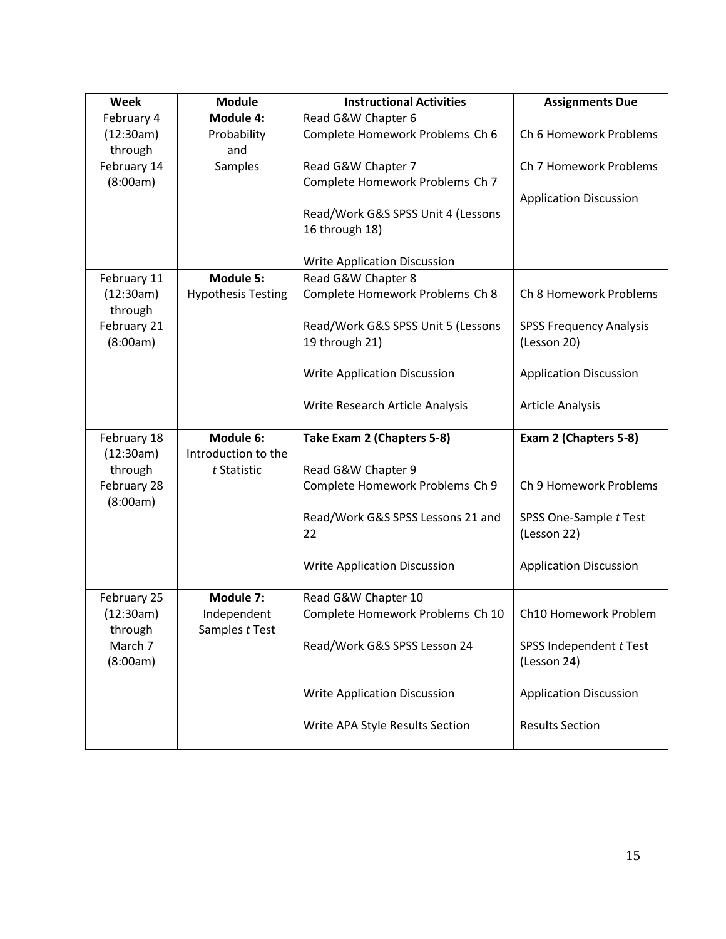| Week                    | <b>Module</b>             | <b>Instructional Activities</b>     | <b>Assignments Due</b>         |  |
|-------------------------|---------------------------|-------------------------------------|--------------------------------|--|
| February 4              | <b>Module 4:</b>          | Read G&W Chapter 6                  |                                |  |
| (12:30am)<br>through    | Probability<br>and        | Complete Homework Problems Ch 6     | Ch 6 Homework Problems         |  |
| February 14             | Samples                   | Read G&W Chapter 7                  | Ch 7 Homework Problems         |  |
| (8:00am)                |                           | Complete Homework Problems Ch 7     |                                |  |
|                         |                           |                                     | <b>Application Discussion</b>  |  |
|                         |                           | Read/Work G&S SPSS Unit 4 (Lessons  |                                |  |
|                         |                           | 16 through 18)                      |                                |  |
|                         |                           |                                     |                                |  |
|                         |                           | <b>Write Application Discussion</b> |                                |  |
| February 11             | <b>Module 5:</b>          | Read G&W Chapter 8                  | Ch 8 Homework Problems         |  |
| (12:30am)<br>through    | <b>Hypothesis Testing</b> | Complete Homework Problems Ch 8     |                                |  |
| February 21             |                           | Read/Work G&S SPSS Unit 5 (Lessons  | <b>SPSS Frequency Analysis</b> |  |
| (8:00am)                |                           | 19 through 21)                      | (Lesson 20)                    |  |
|                         |                           |                                     |                                |  |
|                         |                           | <b>Write Application Discussion</b> | <b>Application Discussion</b>  |  |
|                         |                           | Write Research Article Analysis     | <b>Article Analysis</b>        |  |
|                         |                           |                                     |                                |  |
| February 18             | Module 6:                 | Take Exam 2 (Chapters 5-8)          | Exam 2 (Chapters 5-8)          |  |
| (12:30am)               | Introduction to the       |                                     |                                |  |
| through                 | t Statistic               | Read G&W Chapter 9                  |                                |  |
| February 28<br>(8:00am) |                           | Complete Homework Problems Ch 9     | Ch 9 Homework Problems         |  |
|                         |                           | Read/Work G&S SPSS Lessons 21 and   | SPSS One-Sample t Test         |  |
|                         |                           | 22                                  | (Lesson 22)                    |  |
|                         |                           |                                     |                                |  |
|                         |                           | <b>Write Application Discussion</b> | <b>Application Discussion</b>  |  |
| February 25             | Module 7:                 | Read G&W Chapter 10                 |                                |  |
| (12:30am)               | Independent               | Complete Homework Problems Ch 10    | Ch10 Homework Problem          |  |
| through                 | Samples t Test            |                                     |                                |  |
| March 7                 |                           | Read/Work G&S SPSS Lesson 24        | SPSS Independent t Test        |  |
| (8:00am)                |                           |                                     | (Lesson 24)                    |  |
|                         |                           | <b>Write Application Discussion</b> | <b>Application Discussion</b>  |  |
|                         |                           |                                     |                                |  |
|                         |                           | Write APA Style Results Section     | <b>Results Section</b>         |  |
|                         |                           |                                     |                                |  |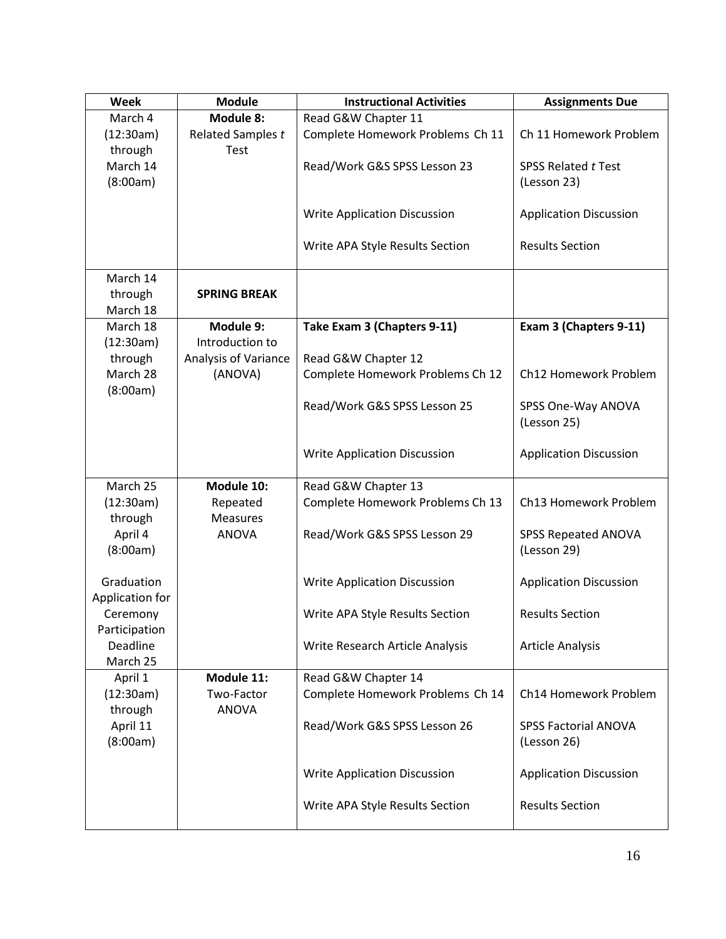| Week                          | <b>Module</b>               | <b>Instructional Activities</b>     | <b>Assignments Due</b>        |
|-------------------------------|-----------------------------|-------------------------------------|-------------------------------|
| March 4                       | Module 8:                   | Read G&W Chapter 11                 |                               |
| (12:30am)                     | Related Samples t           | Complete Homework Problems Ch 11    | Ch 11 Homework Problem        |
| through                       | Test                        |                                     |                               |
| March 14                      |                             | Read/Work G&S SPSS Lesson 23        | <b>SPSS Related t Test</b>    |
| (8:00am)                      |                             |                                     | (Lesson 23)                   |
|                               |                             |                                     |                               |
|                               |                             | <b>Write Application Discussion</b> | <b>Application Discussion</b> |
|                               |                             | Write APA Style Results Section     | <b>Results Section</b>        |
|                               |                             |                                     |                               |
| March 14                      |                             |                                     |                               |
| through                       | <b>SPRING BREAK</b>         |                                     |                               |
| March 18                      |                             |                                     |                               |
| March 18                      | Module 9:                   | Take Exam 3 (Chapters 9-11)         | Exam 3 (Chapters 9-11)        |
| (12:30am)                     | Introduction to             |                                     |                               |
| through                       | <b>Analysis of Variance</b> | Read G&W Chapter 12                 |                               |
| March 28                      | (ANOVA)                     | Complete Homework Problems Ch 12    | Ch12 Homework Problem         |
| (8:00am)                      |                             | Read/Work G&S SPSS Lesson 25        | SPSS One-Way ANOVA            |
|                               |                             |                                     | (Lesson 25)                   |
|                               |                             |                                     |                               |
|                               |                             | <b>Write Application Discussion</b> | <b>Application Discussion</b> |
|                               |                             |                                     |                               |
| March 25                      | Module 10:                  | Read G&W Chapter 13                 |                               |
| (12:30am)                     | Repeated                    | Complete Homework Problems Ch 13    | Ch13 Homework Problem         |
| through                       | <b>Measures</b>             |                                     |                               |
| April 4                       | <b>ANOVA</b>                | Read/Work G&S SPSS Lesson 29        | <b>SPSS Repeated ANOVA</b>    |
| (8:00am)                      |                             |                                     | (Lesson 29)                   |
|                               |                             |                                     |                               |
| Graduation<br>Application for |                             | <b>Write Application Discussion</b> | <b>Application Discussion</b> |
| Ceremony                      |                             | Write APA Style Results Section     | <b>Results Section</b>        |
| Participation                 |                             |                                     |                               |
| Deadline                      |                             | Write Research Article Analysis     | <b>Article Analysis</b>       |
| March 25                      |                             |                                     |                               |
| April 1                       | Module 11:                  | Read G&W Chapter 14                 |                               |
| (12:30am)                     | Two-Factor                  | Complete Homework Problems Ch 14    | Ch14 Homework Problem         |
| through                       | <b>ANOVA</b>                |                                     |                               |
| April 11                      |                             | Read/Work G&S SPSS Lesson 26        | <b>SPSS Factorial ANOVA</b>   |
| (8:00am)                      |                             |                                     | (Lesson 26)                   |
|                               |                             |                                     |                               |
|                               |                             | <b>Write Application Discussion</b> | <b>Application Discussion</b> |
|                               |                             | Write APA Style Results Section     | <b>Results Section</b>        |
|                               |                             |                                     |                               |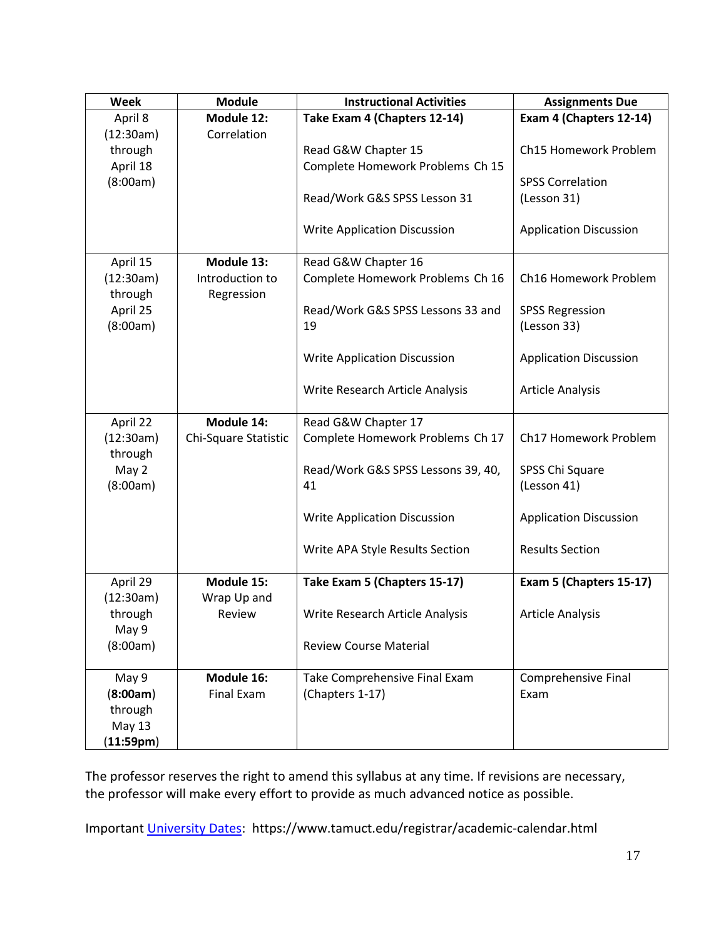| <b>Week</b>          | <b>Module</b>                 | <b>Instructional Activities</b>         | <b>Assignments Due</b>                |
|----------------------|-------------------------------|-----------------------------------------|---------------------------------------|
| April 8              | Module 12:                    | Take Exam 4 (Chapters 12-14)            | Exam 4 (Chapters 12-14)               |
| (12:30am)            | Correlation                   |                                         |                                       |
| through              |                               | Read G&W Chapter 15                     | Ch15 Homework Problem                 |
| April 18             |                               | Complete Homework Problems Ch 15        |                                       |
| (8:00am)             |                               |                                         | <b>SPSS Correlation</b>               |
|                      |                               | Read/Work G&S SPSS Lesson 31            | (Lesson 31)                           |
|                      |                               | <b>Write Application Discussion</b>     | <b>Application Discussion</b>         |
| April 15             | Module 13:                    | Read G&W Chapter 16                     |                                       |
| (12:30am)<br>through | Introduction to<br>Regression | Complete Homework Problems Ch 16        | Ch16 Homework Problem                 |
| April 25<br>(8:00am) |                               | Read/Work G&S SPSS Lessons 33 and<br>19 | <b>SPSS Regression</b><br>(Lesson 33) |
|                      |                               | <b>Write Application Discussion</b>     | <b>Application Discussion</b>         |
|                      |                               | Write Research Article Analysis         | <b>Article Analysis</b>               |
| April 22             | Module 14:                    | Read G&W Chapter 17                     |                                       |
| (12:30am)<br>through | Chi-Square Statistic          | Complete Homework Problems Ch 17        | Ch17 Homework Problem                 |
| May 2                |                               | Read/Work G&S SPSS Lessons 39, 40,      | SPSS Chi Square                       |
| (8:00am)             |                               | 41                                      | (Lesson 41)                           |
|                      |                               | <b>Write Application Discussion</b>     | <b>Application Discussion</b>         |
|                      |                               |                                         |                                       |
|                      |                               | Write APA Style Results Section         | <b>Results Section</b>                |
| April 29             | Module 15:                    | Take Exam 5 (Chapters 15-17)            | Exam 5 (Chapters 15-17)               |
| (12:30am)            | Wrap Up and                   |                                         |                                       |
| through<br>May 9     | Review                        | Write Research Article Analysis         | <b>Article Analysis</b>               |
| (8:00am)             |                               | <b>Review Course Material</b>           |                                       |
|                      |                               |                                         |                                       |
| May 9                | Module 16:                    | Take Comprehensive Final Exam           | Comprehensive Final                   |
| (8:00am)             | <b>Final Exam</b>             | (Chapters 1-17)                         | Exam                                  |
| through              |                               |                                         |                                       |
| May 13               |                               |                                         |                                       |
| (11:59pm)            |                               |                                         |                                       |

The professor reserves the right to amend this syllabus at any time. If revisions are necessary, the professor will make every effort to provide as much advanced notice as possible.

Important [University Dates:](https://www.tamuct.edu/registrar/academic-calendar.html) https://www.tamuct.edu/registrar/academic-calendar.html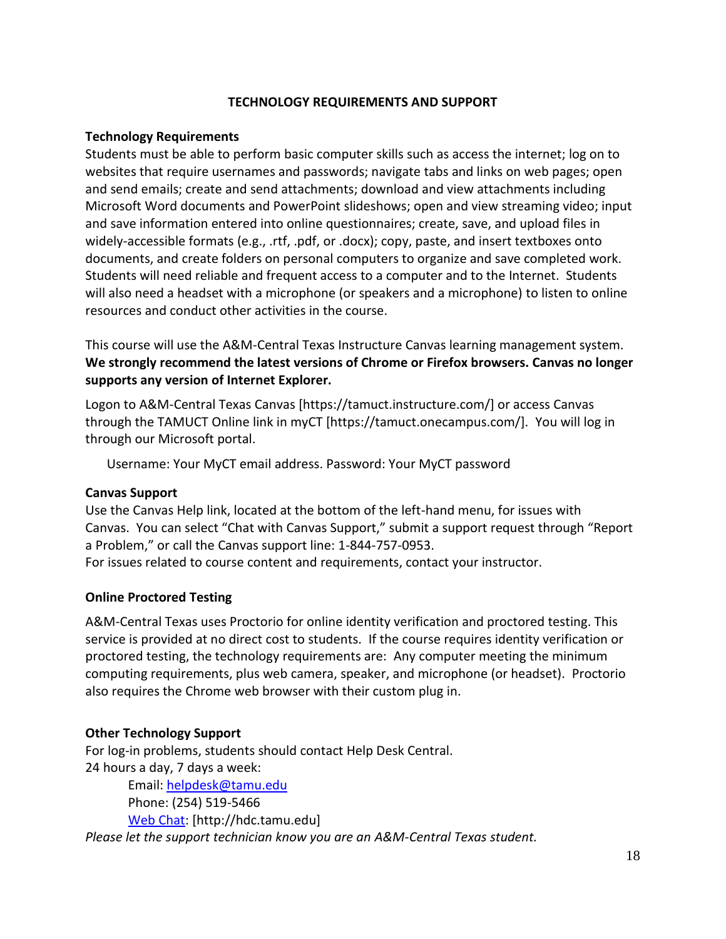#### **TECHNOLOGY REQUIREMENTS AND SUPPORT**

#### **Technology Requirements**

Students must be able to perform basic computer skills such as access the internet; log on to websites that require usernames and passwords; navigate tabs and links on web pages; open and send emails; create and send attachments; download and view attachments including Microsoft Word documents and PowerPoint slideshows; open and view streaming video; input and save information entered into online questionnaires; create, save, and upload files in widely-accessible formats (e.g., .rtf, .pdf, or .docx); copy, paste, and insert textboxes onto documents, and create folders on personal computers to organize and save completed work. Students will need reliable and frequent access to a computer and to the Internet. Students will also need a headset with a microphone (or speakers and a microphone) to listen to online resources and conduct other activities in the course.

This course will use the A&M-Central Texas Instructure Canvas learning management system. **We strongly recommend the latest versions of Chrome or Firefox browsers. Canvas no longer supports any version of Internet Explorer.**

Logon to A&M-Central Texas Canvas [https://tamuct.instructure.com/] or access Canvas through the TAMUCT Online link in myCT [https://tamuct.onecampus.com/]. You will log in through our Microsoft portal.

Username: Your MyCT email address. Password: Your MyCT password

#### **Canvas Support**

Use the Canvas Help link, located at the bottom of the left-hand menu, for issues with Canvas. You can select "Chat with Canvas Support," submit a support request through "Report a Problem," or call the Canvas support line: 1-844-757-0953.

For issues related to course content and requirements, contact your instructor.

#### **Online Proctored Testing**

A&M-Central Texas uses Proctorio for online identity verification and proctored testing. This service is provided at no direct cost to students. If the course requires identity verification or proctored testing, the technology requirements are: Any computer meeting the minimum computing requirements, plus web camera, speaker, and microphone (or headset). Proctorio also requires the Chrome web browser with their custom plug in.

#### **Other Technology Support**

For log-in problems, students should contact Help Desk Central. 24 hours a day, 7 days a week:

Email: [helpdesk@tamu.edu](mailto:helpdesk@tamu.edu) Phone: (254) 519-5466 [Web Chat:](http://hdc.tamu.edu/) [http://hdc.tamu.edu] *Please let the support technician know you are an A&M-Central Texas student.*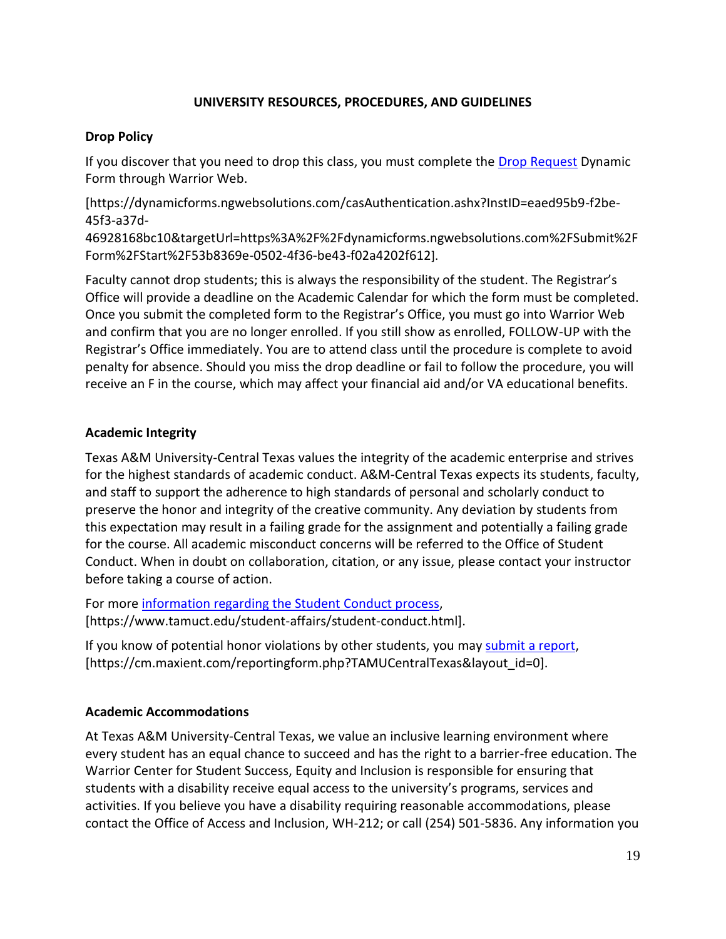# **UNIVERSITY RESOURCES, PROCEDURES, AND GUIDELINES**

# **Drop Policy**

If you discover that you need to drop this class, you must complete the **Drop Request** Dynamic Form through Warrior Web.

[https://dynamicforms.ngwebsolutions.com/casAuthentication.ashx?InstID=eaed95b9-f2be-45f3-a37d-

46928168bc10&targetUrl=https%3A%2F%2Fdynamicforms.ngwebsolutions.com%2FSubmit%2F Form%2FStart%2F53b8369e-0502-4f36-be43-f02a4202f612].

Faculty cannot drop students; this is always the responsibility of the student. The Registrar's Office will provide a deadline on the Academic Calendar for which the form must be completed. Once you submit the completed form to the Registrar's Office, you must go into Warrior Web and confirm that you are no longer enrolled. If you still show as enrolled, FOLLOW-UP with the Registrar's Office immediately. You are to attend class until the procedure is complete to avoid penalty for absence. Should you miss the drop deadline or fail to follow the procedure, you will receive an F in the course, which may affect your financial aid and/or VA educational benefits.

# **Academic Integrity**

Texas A&M University-Central Texas values the integrity of the academic enterprise and strives for the highest standards of academic conduct. A&M-Central Texas expects its students, faculty, and staff to support the adherence to high standards of personal and scholarly conduct to preserve the honor and integrity of the creative community. Any deviation by students from this expectation may result in a failing grade for the assignment and potentially a failing grade for the course. All academic misconduct concerns will be referred to the Office of Student Conduct. When in doubt on collaboration, citation, or any issue, please contact your instructor before taking a course of action.

For more [information](https://nam04.safelinks.protection.outlook.com/?url=https%3A%2F%2Fwww.tamuct.edu%2Fstudent-affairs%2Fstudent-conduct.html&data=04%7C01%7Clisa.bunkowski%40tamuct.edu%7Ccfb6e486f24745f53e1a08d910055cb2%7C9eed4e3000f744849ff193ad8005acec%7C0%7C0%7C637558437485252160%7CUnknown%7CTWFpbGZsb3d8eyJWIjoiMC4wLjAwMDAiLCJQIjoiV2luMzIiLCJBTiI6Ik1haWwiLCJXVCI6Mn0%3D%7C1000&sdata=yjftDEVHvLX%2FhM%2FcFU0B99krV1RgEWR%2BJ%2BhvtoR6TYk%3D&reserved=0) regarding the Student Conduct process, [https://www.tamuct.edu/student-affairs/student-conduct.html].

If you know of potential honor violations by other students, you may [submit](https://nam04.safelinks.protection.outlook.com/?url=https%3A%2F%2Fcm.maxient.com%2Freportingform.php%3FTAMUCentralTexas%26layout_id%3D0&data=04%7C01%7Clisa.bunkowski%40tamuct.edu%7Ccfb6e486f24745f53e1a08d910055cb2%7C9eed4e3000f744849ff193ad8005acec%7C0%7C0%7C637558437485262157%7CUnknown%7CTWFpbGZsb3d8eyJWIjoiMC4wLjAwMDAiLCJQIjoiV2luMzIiLCJBTiI6Ik1haWwiLCJXVCI6Mn0%3D%7C1000&sdata=CXGkOa6uPDPX1IMZ87z3aZDq2n91xfHKu4MMS43Ejjk%3D&reserved=0) a report, [https://cm.maxient.com/reportingform.php?TAMUCentralTexas&layout\_id=0].

#### **Academic Accommodations**

At Texas A&M University-Central Texas, we value an inclusive learning environment where every student has an equal chance to succeed and has the right to a barrier-free education. The Warrior Center for Student Success, Equity and Inclusion is responsible for ensuring that students with a disability receive equal access to the university's programs, services and activities. If you believe you have a disability requiring reasonable accommodations, please contact the Office of Access and Inclusion, WH-212; or call (254) 501-5836. Any information you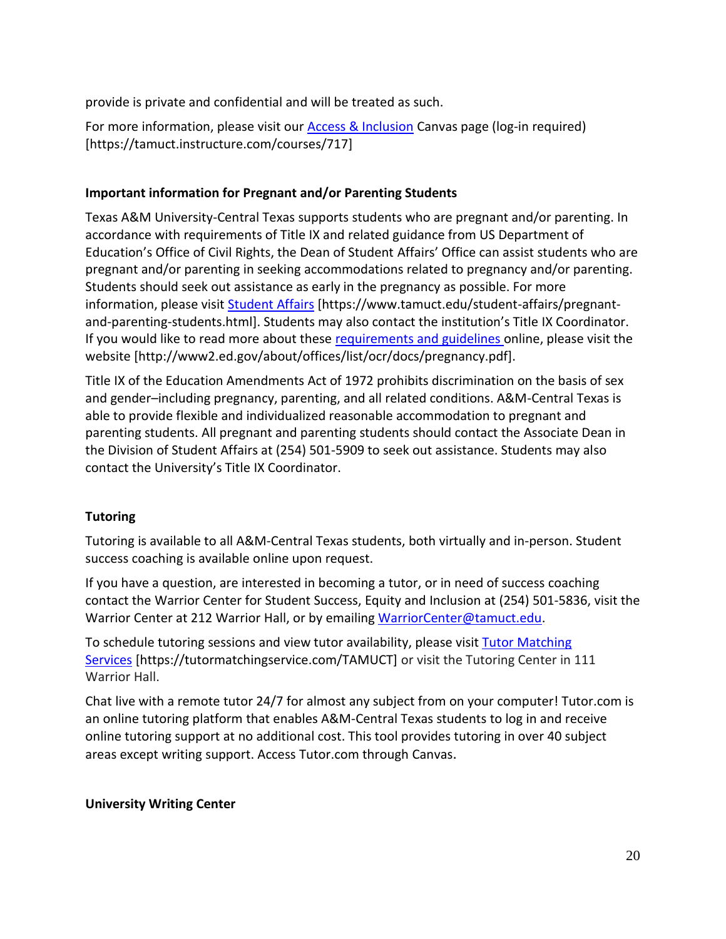provide is private and confidential and will be treated as such.

For more information, please visit our [Access & Inclusion](https://tamuct.instructure.com/courses/717) Canvas page (log-in required) [https://tamuct.instructure.com/courses/717]

# **Important information for Pregnant and/or Parenting Students**

Texas A&M University-Central Texas supports students who are pregnant and/or parenting. In accordance with requirements of Title IX and related guidance from US Department of Education's Office of Civil Rights, the Dean of Student Affairs' Office can assist students who are pregnant and/or parenting in seeking accommodations related to pregnancy and/or parenting. Students should seek out assistance as early in the pregnancy as possible. For more information, please visit [Student Affairs](https://www.tamuct.edu/student-affairs/pregnant-and-parenting-students.html) [https://www.tamuct.edu/student-affairs/pregnantand-parenting-students.html]. Students may also contact the institution's Title IX Coordinator. If you would like to read more about these [requirements and guidelines](http://www2.ed.gov/about/offices/list/ocr/docs/pregnancy.pdf) online, please visit the website [http://www2.ed.gov/about/offices/list/ocr/docs/pregnancy.pdf].

Title IX of the Education Amendments Act of 1972 prohibits discrimination on the basis of sex and gender–including pregnancy, parenting, and all related conditions. A&M-Central Texas is able to provide flexible and individualized reasonable accommodation to pregnant and parenting students. All pregnant and parenting students should contact the Associate Dean in the Division of Student Affairs at (254) 501-5909 to seek out assistance. Students may also contact the University's Title IX Coordinator.

# **Tutoring**

Tutoring is available to all A&M-Central Texas students, both virtually and in-person. Student success coaching is available online upon request.

If you have a question, are interested in becoming a tutor, or in need of success coaching contact the Warrior Center for Student Success, Equity and Inclusion at (254) 501-5836, visit the Warrior Center at 212 Warrior Hall, or by emailing [WarriorCenter@tamuct.edu.](mailto:WarriorCenter@tamuct.edu)

To schedule tutoring sessions and view tutor availability, please visit Tutor [Matching](https://tutormatchingservice.com/TAMUCT) [Services](https://tutormatchingservice.com/TAMUCT) [https://tutormatchingservice.com/TAMUCT] or visit the Tutoring Center in 111 Warrior Hall.

Chat live with a remote tutor 24/7 for almost any subject from on your computer! Tutor.com is an online tutoring platform that enables A&M-Central Texas students to log in and receive online tutoring support at no additional cost. This tool provides tutoring in over 40 subject areas except writing support. Access Tutor.com through Canvas.

#### **University Writing Center**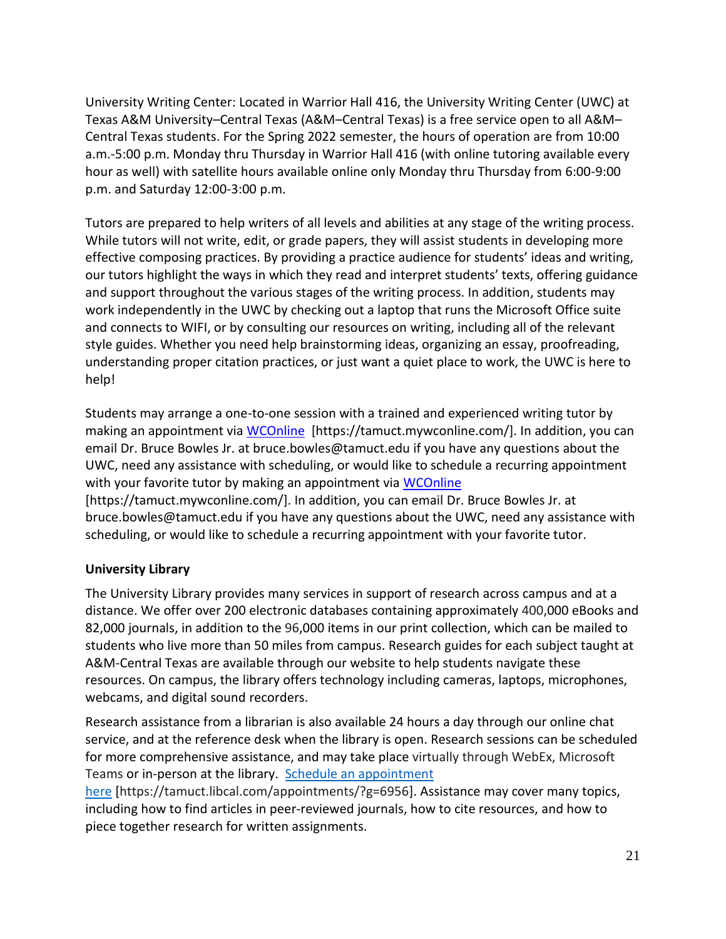University Writing Center: Located in Warrior Hall 416, the University Writing Center (UWC) at Texas A&M University–Central Texas (A&M–Central Texas) is a free service open to all A&M– Central Texas students. For the Spring 2022 semester, the hours of operation are from 10:00 a.m.-5:00 p.m. Monday thru Thursday in Warrior Hall 416 (with online tutoring available every hour as well) with satellite hours available online only Monday thru Thursday from 6:00-9:00 p.m. and Saturday 12:00-3:00 p.m.

Tutors are prepared to help writers of all levels and abilities at any stage of the writing process. While tutors will not write, edit, or grade papers, they will assist students in developing more effective composing practices. By providing a practice audience for students' ideas and writing, our tutors highlight the ways in which they read and interpret students' texts, offering guidance and support throughout the various stages of the writing process. In addition, students may work independently in the UWC by checking out a laptop that runs the Microsoft Office suite and connects to WIFI, or by consulting our resources on writing, including all of the relevant style guides. Whether you need help brainstorming ideas, organizing an essay, proofreading, understanding proper citation practices, or just want a quiet place to work, the UWC is here to help!

Students may arrange a one-to-one session with a trained and experienced writing tutor by making an appointment via [WCOnline](https://tamuct.mywconline.com/) [https://tamuct.mywconline.com/]. In addition, you can email Dr. Bruce Bowles Jr. at bruce.bowles@tamuct.edu if you have any questions about the UWC, need any assistance with scheduling, or would like to schedule a recurring appointment with your favorite tutor by making an appointment via [WCOnline](https://tamuct.mywconline.com/) [https://tamuct.mywconline.com/]. In addition, you can email Dr. Bruce Bowles Jr. at bruce.bowles@tamuct.edu if you have any questions about the UWC, need any assistance with

# scheduling, or would like to schedule a recurring appointment with your favorite tutor.

# **University Library**

The University Library provides many services in support of research across campus and at a distance. We offer over 200 electronic databases containing approximately 400,000 eBooks and 82,000 journals, in addition to the 96,000 items in our print collection, which can be mailed to students who live more than 50 miles from campus. Research guides for each subject taught at A&M-Central Texas are available through our website to help students navigate these resources. On campus, the library offers technology including cameras, laptops, microphones, webcams, and digital sound recorders.

Research assistance from a librarian is also available 24 hours a day through our online chat service, and at the reference desk when the library is open. Research sessions can be scheduled for more comprehensive assistance, and may take place virtually through WebEx, Microsoft Teams or in-person at the library. Schedule an [appointment](https://nam04.safelinks.protection.outlook.com/?url=https%3A%2F%2Ftamuct.libcal.com%2Fappointments%2F%3Fg%3D6956&data=04%7C01%7Clisa.bunkowski%40tamuct.edu%7Cde2c07d9f5804f09518008d9ab7ba6ff%7C9eed4e3000f744849ff193ad8005acec%7C0%7C0%7C637729369835011558%7CUnknown%7CTWFpbGZsb3d8eyJWIjoiMC4wLjAwMDAiLCJQIjoiV2luMzIiLCJBTiI6Ik1haWwiLCJXVCI6Mn0%3D%7C3000&sdata=KhtjgRSAw9aq%2FoBsB6wyu8b7PSuGN5EGPypzr3Ty2No%3D&reserved=0)

[here](https://nam04.safelinks.protection.outlook.com/?url=https%3A%2F%2Ftamuct.libcal.com%2Fappointments%2F%3Fg%3D6956&data=04%7C01%7Clisa.bunkowski%40tamuct.edu%7Cde2c07d9f5804f09518008d9ab7ba6ff%7C9eed4e3000f744849ff193ad8005acec%7C0%7C0%7C637729369835011558%7CUnknown%7CTWFpbGZsb3d8eyJWIjoiMC4wLjAwMDAiLCJQIjoiV2luMzIiLCJBTiI6Ik1haWwiLCJXVCI6Mn0%3D%7C3000&sdata=KhtjgRSAw9aq%2FoBsB6wyu8b7PSuGN5EGPypzr3Ty2No%3D&reserved=0) [https://tamuct.libcal.com/appointments/?g=6956]. Assistance may cover many topics, including how to find articles in peer-reviewed journals, how to cite resources, and how to piece together research for written assignments.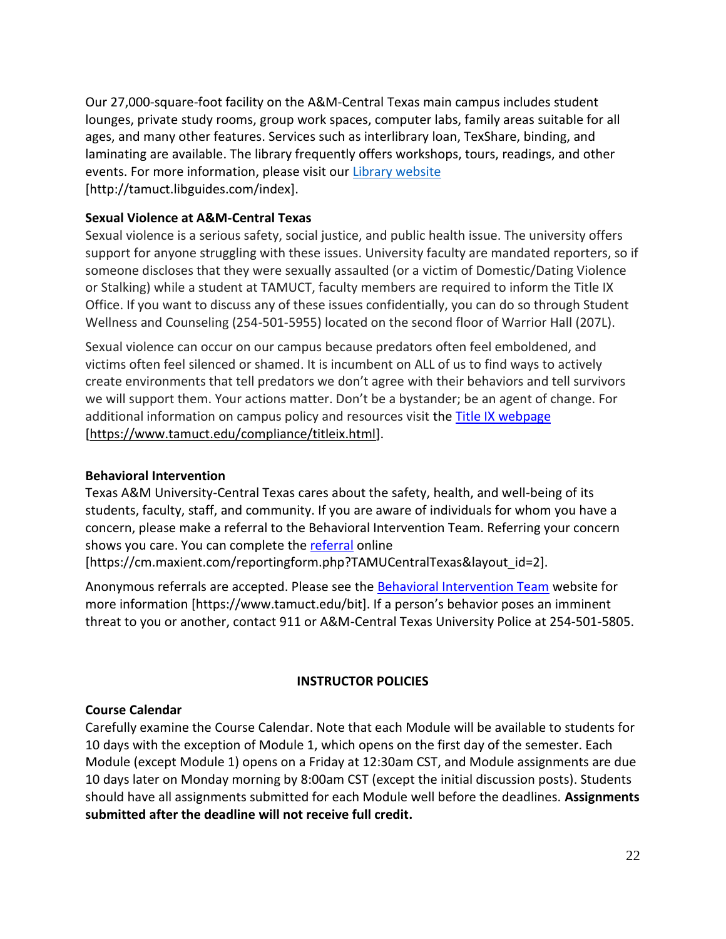Our 27,000-square-foot facility on the A&M-Central Texas main campus includes student lounges, private study rooms, group work spaces, computer labs, family areas suitable for all ages, and many other features. Services such as interlibrary loan, TexShare, binding, and laminating are available. The library frequently offers workshops, tours, readings, and other events. For more information, please visit our Library [website](https://nam04.safelinks.protection.outlook.com/?url=https%3A%2F%2Ftamuct.libguides.com%2Findex&data=04%7C01%7Clisa.bunkowski%40tamuct.edu%7C7d8489e8839a4915335f08d916f067f2%7C9eed4e3000f744849ff193ad8005acec%7C0%7C0%7C637566044056484222%7CUnknown%7CTWFpbGZsb3d8eyJWIjoiMC4wLjAwMDAiLCJQIjoiV2luMzIiLCJBTiI6Ik1haWwiLCJXVCI6Mn0%3D%7C1000&sdata=2R755V6rcIyedGrd4Os5rkgn1PvhHKU3kUV1vBKiHFo%3D&reserved=0) [http://tamuct.libguides.com/index].

# **Sexual Violence at A&M-Central Texas**

Sexual violence is a serious safety, social justice, and public health issue. The university offers support for anyone struggling with these issues. University faculty are mandated reporters, so if someone discloses that they were sexually assaulted (or a victim of Domestic/Dating Violence or Stalking) while a student at TAMUCT, faculty members are required to inform the Title IX Office. If you want to discuss any of these issues confidentially, you can do so through Student Wellness and Counseling (254-501-5955) located on the second floor of Warrior Hall (207L).

Sexual violence can occur on our campus because predators often feel emboldened, and victims often feel silenced or shamed. It is incumbent on ALL of us to find ways to actively create environments that tell predators we don't agree with their behaviors and tell survivors we will support them. Your actions matter. Don't be a bystander; be an agent of change. For additional information on campus policy and resources visit the [Title IX webpage](https://www.tamuct.edu/compliance/titleix.html) [\[https://www.tamuct.edu/compliance/titleix.html\]](https://www.tamuct.edu/compliance/titleix.html).

# **Behavioral Intervention**

Texas A&M University-Central Texas cares about the safety, health, and well-being of its students, faculty, staff, and community. If you are aware of individuals for whom you have a concern, please make a referral to the Behavioral Intervention Team. Referring your concern shows you care. You can complete the [referral](https://cm.maxient.com/reportingform.php?TAMUCentralTexas&layout_id=2) online

[https://cm.maxient.com/reportingform.php?TAMUCentralTexas&layout\_id=2].

Anonymous referrals are accepted. Please see the [Behavioral Intervention Team](https://www.tamuct.edu/bit) website for more information [https://www.tamuct.edu/bit]. If a person's behavior poses an imminent threat to you or another, contact 911 or A&M-Central Texas University Police at 254-501-5805.

# **INSTRUCTOR POLICIES**

# **Course Calendar**

Carefully examine the Course Calendar. Note that each Module will be available to students for 10 days with the exception of Module 1, which opens on the first day of the semester. Each Module (except Module 1) opens on a Friday at 12:30am CST, and Module assignments are due 10 days later on Monday morning by 8:00am CST (except the initial discussion posts). Students should have all assignments submitted for each Module well before the deadlines. **Assignments submitted after the deadline will not receive full credit.**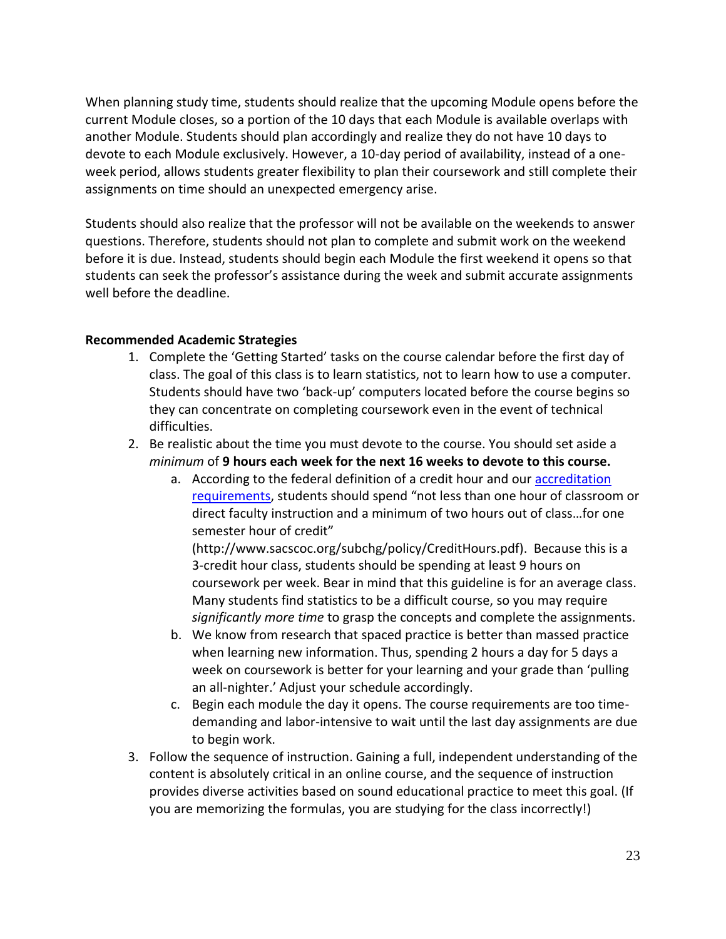When planning study time, students should realize that the upcoming Module opens before the current Module closes, so a portion of the 10 days that each Module is available overlaps with another Module. Students should plan accordingly and realize they do not have 10 days to devote to each Module exclusively. However, a 10-day period of availability, instead of a oneweek period, allows students greater flexibility to plan their coursework and still complete their assignments on time should an unexpected emergency arise.

Students should also realize that the professor will not be available on the weekends to answer questions. Therefore, students should not plan to complete and submit work on the weekend before it is due. Instead, students should begin each Module the first weekend it opens so that students can seek the professor's assistance during the week and submit accurate assignments well before the deadline.

# **Recommended Academic Strategies**

- 1. Complete the 'Getting Started' tasks on the course calendar before the first day of class. The goal of this class is to learn statistics, not to learn how to use a computer. Students should have two 'back-up' computers located before the course begins so they can concentrate on completing coursework even in the event of technical difficulties.
- 2. Be realistic about the time you must devote to the course. You should set aside a *minimum* of **9 hours each week for the next 16 weeks to devote to this course.**
	- a. According to the federal definition of a credit hour and our [accreditation](http://www.sacscoc.org/subchg/policy/CreditHours.pdf)  [requirements](http://www.sacscoc.org/subchg/policy/CreditHours.pdf), students should spend "not less than one hour of classroom or direct faculty instruction and a minimum of two hours out of class…for one semester hour of credit"

(http://www.sacscoc.org/subchg/policy/CreditHours.pdf). Because this is a 3-credit hour class, students should be spending at least 9 hours on coursework per week. Bear in mind that this guideline is for an average class. Many students find statistics to be a difficult course, so you may require *significantly more time* to grasp the concepts and complete the assignments.

- b. We know from research that spaced practice is better than massed practice when learning new information. Thus, spending 2 hours a day for 5 days a week on coursework is better for your learning and your grade than 'pulling an all-nighter.' Adjust your schedule accordingly.
- c. Begin each module the day it opens. The course requirements are too timedemanding and labor-intensive to wait until the last day assignments are due to begin work.
- 3. Follow the sequence of instruction. Gaining a full, independent understanding of the content is absolutely critical in an online course, and the sequence of instruction provides diverse activities based on sound educational practice to meet this goal. (If you are memorizing the formulas, you are studying for the class incorrectly!)